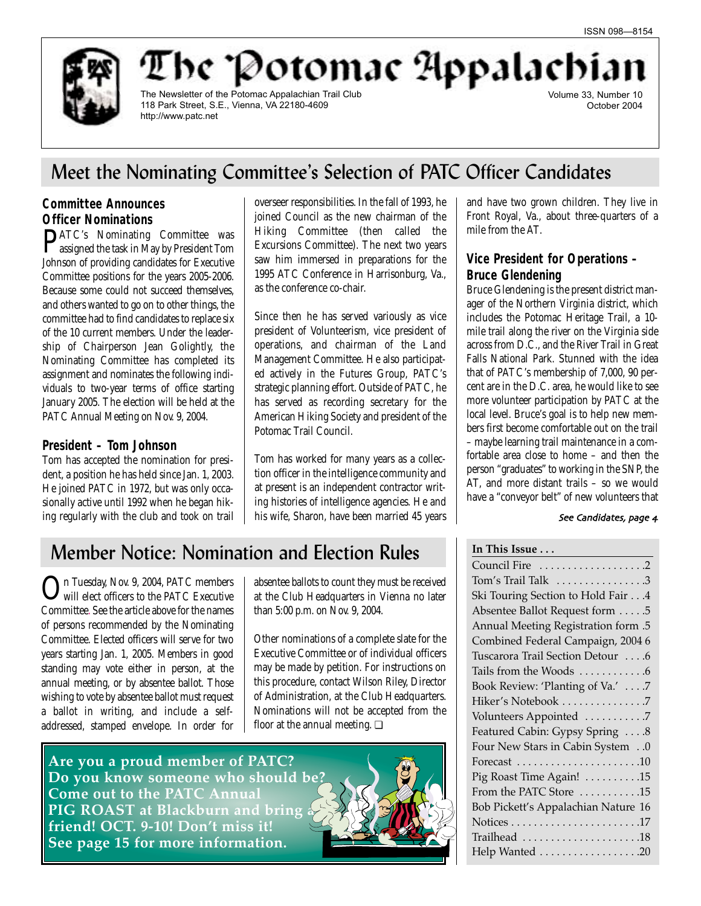

be "Potomac Appalachi

The Newsletter of the Potomac Appalachian Trail Club 118 Park Street, S.E., Vienna, VA 22180-4609 http://www.patc.net

Volume 33, Number 10 October 2004

## Meet the Nominating Committee's Selection of PATC Officer Candidates

## **Committee Announces Officer Nominations**

PATC's Nominating Committee was assigned the task in May by President Tom Johnson of providing candidates for Executive Committee positions for the years 2005-2006. Because some could not succeed themselves, and others wanted to go on to other things, the committee had to find candidates to replace six of the 10 current members. Under the leadership of Chairperson Jean Golightly, the Nominating Committee has completed its assignment and nominates the following individuals to two-year terms of office starting January 2005. The election will be held at the PATC Annual Meeting on Nov. 9, 2004.

## **President – Tom Johnson**

Tom has accepted the nomination for president, a position he has held since Jan. 1, 2003. He joined PATC in 1972, but was only occasionally active until 1992 when he began hiking regularly with the club and took on trail overseer responsibilities. In the fall of 1993, he joined Council as the new chairman of the Hiking Committee (then called the Excursions Committee). The next two years saw him immersed in preparations for the 1995 ATC Conference in Harrisonburg, Va., as the conference co-chair.

Since then he has served variously as vice president of Volunteerism, vice president of operations, and chairman of the Land Management Committee. He also participated actively in the Futures Group, PATC's strategic planning effort. Outside of PATC, he has served as recording secretary for the American Hiking Society and president of the Potomac Trail Council.

Tom has worked for many years as a collection officer in the intelligence community and at present is an independent contractor writing histories of intelligence agencies. He and his wife, Sharon, have been married 45 years

and have two grown children. They live in Front Royal, Va., about three-quarters of a mile from the AT.

## **Vice President for Operations – Bruce Glendening**

Bruce Glendening is the present district manager of the Northern Virginia district, which includes the Potomac Heritage Trail, a 10 mile trail along the river on the Virginia side across from D.C., and the River Trail in Great Falls National Park. Stunned with the idea that of PATC's membership of 7,000, 90 percent are in the D.C. area, he would like to see more volunteer participation by PATC at the local level. Bruce's goal is to help new members first become comfortable out on the trail – maybe learning trail maintenance in a comfortable area close to home – and then the person "graduates" to working in the SNP, the AT, and more distant trails – so we would have a "conveyor belt" of new volunteers that

### See Candidates, page 4

## Member Notice: Nomination and Election Rules

In Tuesday, Nov. 9, 2004, PATC members will elect officers to the PATC Executive Committee. See the article above for the names of persons recommended by the Nominating Committee. Elected officers will serve for two years starting Jan. 1, 2005. Members in good standing may vote either in person, at the annual meeting, or by absentee ballot. Those wishing to vote by absentee ballot must request a ballot in writing, and include a selfaddressed, stamped envelope. In order for

absentee ballots to count they must be received at the Club Headquarters in Vienna no later than 5:00 p.m. on Nov. 9, 2004.

Other nominations of a complete slate for the Executive Committee or of individual officers may be made by petition. For instructions on this procedure, contact Wilson Riley, Director of Administration, at the Club Headquarters. Nominations will not be accepted from the floor at the annual meeting.  $\Box$ 

**Are you a proud member of PATC? Do you know someone who should be? Come out to the PATC Annual PIG ROAST at Blackburn and bring friend! OCT. 9-10! Don't miss it! See page 15 for more information.**

Tom's Trail Talk  $\dots \dots \dots \dots$ 3

Council Fire . . . . . . . . . . . . . . . . . . .2

**In This Issue . . .**

| Ski Touring Section to Hold Fair 4                                        |
|---------------------------------------------------------------------------|
| Absentee Ballot Request form 5                                            |
| 5. Annual Meeting Registration form                                       |
| Combined Federal Campaign, 2004 6                                         |
| Tuscarora Trail Section Detour 6                                          |
| Tails from the Woods 6                                                    |
| Book Review: 'Planting of Va.' 7                                          |
| Hiker's Notebook 7                                                        |
| Volunteers Appointed 7                                                    |
| Featured Cabin: Gypsy Spring 8                                            |
| Four New Stars in Cabin System0                                           |
|                                                                           |
| Pig Roast Time Again! 15                                                  |
| From the PATC Store $\dots\dots\dots 15$                                  |
| Bob Pickett's Appalachian Nature 16                                       |
|                                                                           |
| $\operatorname{Trialhead}\, \ldots \ldots \ldots \ldots \ldots \ldots 18$ |
| Help Wanted 20                                                            |
|                                                                           |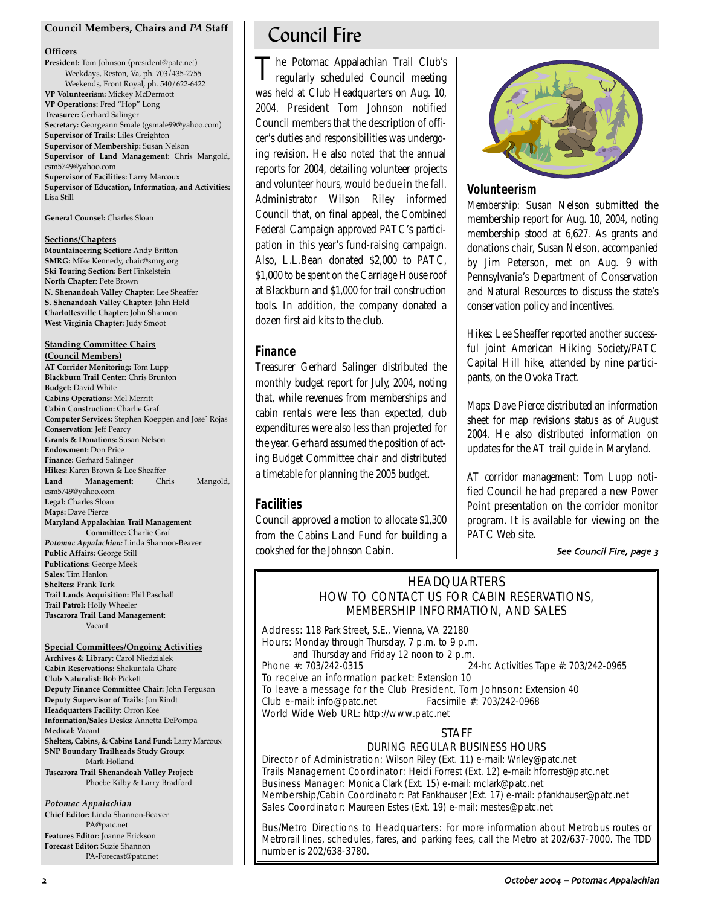### **Council Members, Chairs and** *PA* **Staff**

#### **Officers**

**President:** Tom Johnson (president@patc.net) Weekdays, Reston, Va, ph. 703/435-2755 Weekends, Front Royal, ph. 540/622-6422 **VP Volunteerism:** Mickey McDermott **VP Operations:** Fred "Hop" Long **Treasurer:** Gerhard Salinger **Secretary:** Georgeann Smale (gsmale99@yahoo.com) **Supervisor of Trails:** Liles Creighton **Supervisor of Membership:** Susan Nelson **Supervisor of Land Management:** Chris Mangold, csm5749@yahoo.com **Supervisor of Facilities:** Larry Marcoux **Supervisor of Education, Information, and Activities:** Lisa Still

**General Counsel:** Charles Sloan

#### **Sections/Chapters**

**Mountaineering Section:** Andy Britton **SMRG:** Mike Kennedy, chair@smrg.org **Ski Touring Section:** Bert Finkelstein **North Chapter:** Pete Brown **N. Shenandoah Valley Chapter:** Lee Sheaffer **S. Shenandoah Valley Chapter:** John Held **Charlottesville Chapter:** John Shannon **West Virginia Chapter:** Judy Smoot

## **Standing Committee Chairs**

**(Council Members) AT Corridor Monitoring:** Tom Lupp **Blackburn Trail Center:** Chris Brunton **Budget:** David White **Cabins Operations:** Mel Merritt **Cabin Construction:** Charlie Graf **Computer Services:** Stephen Koeppen and Jose` Rojas **Conservation:** Jeff Pearcy **Grants & Donations:** Susan Nelson **Endowment:** Don Price **Finance:** Gerhard Salinger **Hikes:** Karen Brown & Lee Sheaffer **Land Management:** Chris Mangold, csm5749@yahoo.com **Legal:** Charles Sloan **Maps:** Dave Pierce **Maryland Appalachian Trail Management Committee:** Charlie Graf *Potomac Appalachian:* Linda Shannon-Beaver **Public Affairs:** George Still **Publications:** George Meek **Sales:** Tim Hanlon **Shelters:** Frank Turk **Trail Lands Acquisition:** Phil Paschall **Trail Patrol:** Holly Wheeler

**Tuscarora Trail Land Management:** Vacant

### **Special Committees/Ongoing Activities**

**Archives & Library:** Carol Niedzialek **Cabin Reservations:** Shakuntala Ghare **Club Naturalist:** Bob Pickett **Deputy Finance Committee Chair:** John Ferguson **Deputy Supervisor of Trails:** Jon Rindt **Headquarters Facility:** Orron Kee **Information/Sales Desks:** Annetta DePompa **Medical:** Vacant **Shelters, Cabins, & Cabins Land Fund:** Larry Marcoux **SNP Boundary Trailheads Study Group:** Mark Holland **Tuscarora Trail Shenandoah Valley Project:** Phoebe Kilby & Larry Bradford

#### *Potomac Appalachian*

**Chief Editor:** Linda Shannon-Beaver PA@patc.net **Features Editor:** Joanne Erickson **Forecast Editor:** Suzie Shannon PA-Forecast@patc.net

## Council Fire

The Potomac Appalachian Trail Club's regularly scheduled Council meeting was held at Club Headquarters on Aug. 10, 2004. President Tom Johnson notified Council members that the description of officer's duties and responsibilities was undergoing revision. He also noted that the annual reports for 2004, detailing volunteer projects and volunteer hours, would be due in the fall. Administrator Wilson Riley informed Council that, on final appeal, the Combined Federal Campaign approved PATC's participation in this year's fund-raising campaign. Also, L.L.Bean donated \$2,000 to PATC, \$1,000 to be spent on the Carriage House roof at Blackburn and \$1,000 for trail construction tools. In addition, the company donated a dozen first aid kits to the club.

## **Finance**

Treasurer Gerhard Salinger distributed the monthly budget report for July, 2004, noting that, while revenues from memberships and cabin rentals were less than expected, club expenditures were also less than projected for the year. Gerhard assumed the position of acting Budget Committee chair and distributed a timetable for planning the 2005 budget.

## **Facilities**

Council approved a motion to allocate \$1,300 from the Cabins Land Fund for building a cookshed for the Johnson Cabin.



## **Volunteerism**

*Membership:* Susan Nelson submitted the membership report for Aug. 10, 2004, noting membership stood at 6,627. As grants and donations chair, Susan Nelson, accompanied by Jim Peterson, met on Aug. 9 with Pennsylvania's Department of Conservation and Natural Resources to discuss the state's conservation policy and incentives.

*Hikes:* Lee Sheaffer reported another successful joint American Hiking Society/PATC Capital Hill hike, attended by nine participants, on the Ovoka Tract.

*Maps:* Dave Pierce distributed an information sheet for map revisions status as of August 2004. He also distributed information on updates for the AT trail guide in Maryland.

*AT corridor management:* Tom Lupp notified Council he had prepared a new Power Point presentation on the corridor monitor program. It is available for viewing on the PATC Web site.

### See Council Fire, page 3

## **HEADQUARTERS** HOW TO CONTACT US FOR CABIN RESERVATIONS, MEMBERSHIP INFORMATION, AND SALES

Address: 118 Park Street, S.E., Vienna, VA 22180 Hours: Monday through Thursday, 7 p.m. to 9 p.m. and Thursday and Friday 12 noon to 2 p.m.<br>Phone  $\#$ : 703/242-0315 24-hr. Activities Tape #: 703/242-0965 To receive an information packet: Extension 10 To leave a message for the Club President, Tom Johnson: Extension 40 Club e-mail: info@patc.net Facsimile #: 703/242-0968 World Wide Web URL: http://www.patc.net

## **STAFF**

## DURING REGULAR BUSINESS HOURS

Director of Administration: Wilson Riley (Ext. 11) e-mail: Wriley@patc.net Trails Management Coordinator: Heidi Forrest (Ext. 12) e-mail: hforrest@patc.net Business Manager: Monica Clark (Ext. 15) e-mail: mclark@patc.net Membership/Cabin Coordinator: Pat Fankhauser (Ext. 17) e-mail: pfankhauser@patc.net Sales Coordinator: Maureen Estes (Ext. 19) e-mail: mestes@patc.net

Bus/Metro Directions to Headquarters: For more information about Metrobus routes or Metrorail lines, schedules, fares, and parking fees, call the Metro at 202/637-7000. The TDD number is 202/638-3780.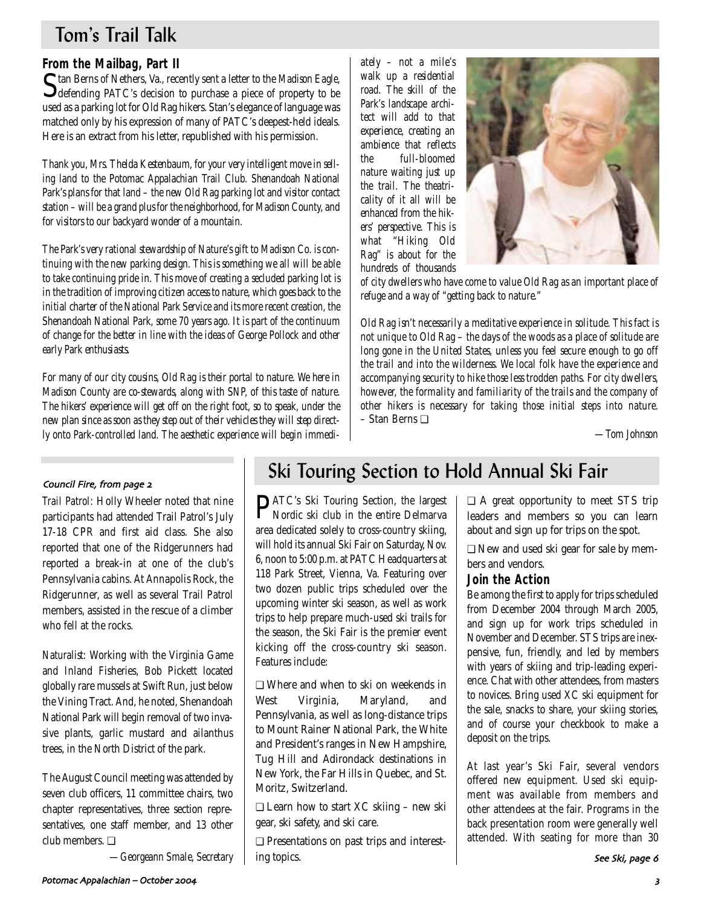## Tom's Trail Talk

## **From the Mailbag, Part II**

Stan Berns of Nethers, Va., recently sent a letter to the *Madison Eagle*, defending PATC's decision to purchase a piece of property to be used as a parking lot for Old Rag hikers. Stan's elegance of language was matched only by his expression of many of PATC's deepest-held ideals. Here is an extract from his letter, republished with his permission.

*Thank you, Mrs. Thelda Kestenbaum, for your very intelligent move in selling land to the Potomac Appalachian Trail Club. Shenandoah National Park's plans for that land – the new Old Rag parking lot and visitor contact station – will be a grand plus for the neighborhood, for Madison County, and for visitors to our backyard wonder of a mountain.*

*The Park's very rational stewardship of Nature's gift to Madison Co. is continuing with the new parking design. This is something we all will be able to take continuing pride in. This move of creating a secluded parking lot is in the tradition of improving citizen access to nature, which goes back to the initial charter of the National Park Service and its more recent creation, the Shenandoah National Park, some 70 years ago. It is part of the continuum of change for the better in line with the ideas of George Pollock and other early Park enthusiasts.* 

*For many of our city cousins, Old Rag is their portal to nature. We here in Madison County are co-stewards, along with SNP, of this taste of nature. The hikers' experience will get off on the right foot, so to speak, under the new plan since as soon as they step out of their vehicles they will step directly onto Park-controlled land. The aesthetic experience will begin immedi-*

*ately – not a mile's walk up a residential road. The skill of the Park's landscape architect will add to that experience, creating an ambience that reflects the full-bloomed nature waiting just up the trail. The theatricality of it all will be enhanced from the hikers' perspective. This is what "Hiking Old Rag" is about for the hundreds of thousands*



*of city dwellers who have come to value Old Rag as an important place of refuge and a way of "getting back to nature."*

*Old Rag isn't necessarily a meditative experience in solitude. This fact is not unique to Old Rag – the days of the woods as a place of solitude are long gone in the United States, unless you feel secure enough to go off the trail and into the wilderness. We local folk have the experience and accompanying security to hike those less trodden paths. For city dwellers, however, the formality and familiarity of the trails and the company of other hikers is necessary for taking those initial steps into nature. –* Stan Berns ❏

*—Tom Johnson*

## Council Fire, from page 2

*Trail Patrol:* Holly Wheeler noted that nine participants had attended Trail Patrol's July 17-18 CPR and first aid class. She also reported that one of the Ridgerunners had reported a break-in at one of the club's Pennsylvania cabins. At Annapolis Rock, the Ridgerunner, as well as several Trail Patrol members, assisted in the rescue of a climber who fell at the rocks.

*Naturalist:* Working with the Virginia Game and Inland Fisheries, Bob Pickett located globally rare mussels at Swift Run, just below the Vining Tract. And, he noted, Shenandoah National Park will begin removal of two invasive plants, garlic mustard and ailanthus trees, in the North District of the park.

The August Council meeting was attended by seven club officers, 11 committee chairs, two chapter representatives, three section representatives, one staff member, and 13 other club members. ❏

*—Georgeann Smale, Secretary*

## Ski Touring Section to Hold Annual Ski Fair

**PATC's Ski Touring Section, the largest**<br>Nordic ski club in the entire Delmarya Nordic ski club in the entire Delmarva area dedicated solely to cross-country skiing, will hold its annual Ski Fair on Saturday, Nov. 6, noon to 5:00 p.m. at PATC Headquarters at 118 Park Street, Vienna, Va. Featuring over two dozen public trips scheduled over the upcoming winter ski season, as well as work trips to help prepare much-used ski trails for the season, the Ski Fair is the premier event kicking off the cross-country ski season. Features include:

❏ Where and when to ski on weekends in West Virginia, Maryland, and Pennsylvania, as well as long-distance trips to Mount Rainer National Park, the White and President's ranges in New Hampshire, Tug Hill and Adirondack destinations in New York, the Far Hills in Quebec, and St. Moritz, Switzerland.

❏ Learn how to start XC skiing – new ski gear, ski safety, and ski care.

❏ Presentations on past trips and interesting topics.

❏ A great opportunity to meet STS trip leaders and members so you can learn

about and sign up for trips on the spot. ❏ New and used ski gear for sale by mem-

## bers and vendors. **Join the Action**

Be among the first to apply for trips scheduled from December 2004 through March 2005, and sign up for work trips scheduled in November and December. STS trips are inexpensive, fun, friendly, and led by members with years of skiing and trip-leading experience. Chat with other attendees, from masters to novices. Bring used XC ski equipment for the sale, snacks to share, your skiing stories, and of course your checkbook to make a deposit on the trips.

At last year's Ski Fair, several vendors offered new equipment. Used ski equipment was available from members and other attendees at the fair. Programs in the back presentation room were generally well attended. With seating for more than 30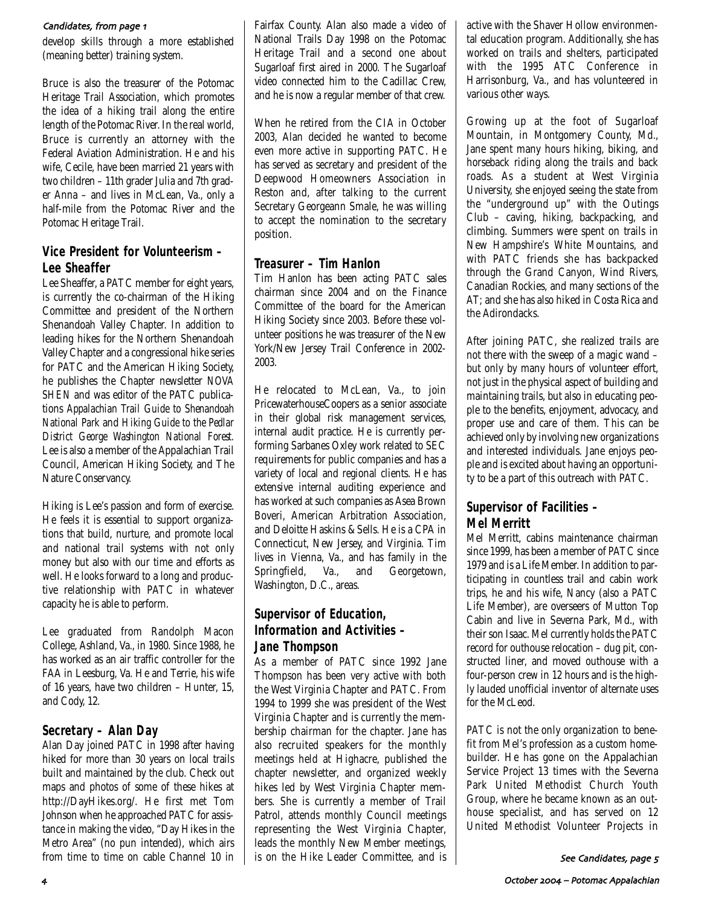### Candidates, from page 1

develop skills through a more established (meaning better) training system.

Bruce is also the treasurer of the Potomac Heritage Trail Association, which promotes the idea of a hiking trail along the entire length of the Potomac River. In the real world, Bruce is currently an attorney with the Federal Aviation Administration. He and his wife, Cecile, have been married 21 years with two children – 11th grader Julia and 7th grader Anna – and lives in McLean, Va., only a half-mile from the Potomac River and the Potomac Heritage Trail.

## **Vice President for Volunteerism – Lee Sheaffer**

Lee Sheaffer, a PATC member for eight years, is currently the co-chairman of the Hiking Committee and president of the Northern Shenandoah Valley Chapter. In addition to leading hikes for the Northern Shenandoah Valley Chapter and a congressional hike series for PATC and the American Hiking Society, he publishes the Chapter newsletter *NOVA SHEN* and was editor of the PATC publications *Appalachian Trail Guide to Shenandoah National Park* and *Hiking Guide to the Pedlar District George Washington National Forest.* Lee is also a member of the Appalachian Trail Council, American Hiking Society, and The Nature Conservancy.

Hiking is Lee's passion and form of exercise. He feels it is essential to support organizations that build, nurture, and promote local and national trail systems with not only money but also with our time and efforts as well. He looks forward to a long and productive relationship with PATC in whatever capacity he is able to perform.

Lee graduated from Randolph Macon College, Ashland, Va., in 1980. Since 1988, he has worked as an air traffic controller for the FAA in Leesburg, Va. He and Terrie, his wife of 16 years, have two children – Hunter, 15, and Cody, 12.

## **Secretary – Alan Day**

Alan Day joined PATC in 1998 after having hiked for more than 30 years on local trails built and maintained by the club. Check out maps and photos of some of these hikes at http://DayHikes.org/. He first met Tom Johnson when he approached PATC for assistance in making the video, "Day Hikes in the Metro Area" (no pun intended), which airs from time to time on cable Channel 10 in Fairfax County. Alan also made a video of National Trails Day 1998 on the Potomac Heritage Trail and a second one about Sugarloaf first aired in 2000. The Sugarloaf video connected him to the Cadillac Crew, and he is now a regular member of that crew.

When he retired from the CIA in October 2003, Alan decided he wanted to become even more active in supporting PATC. He has served as secretary and president of the Deepwood Homeowners Association in Reston and, after talking to the current Secretary Georgeann Smale, he was willing to accept the nomination to the secretary position.

## **Treasurer – Tim Hanlon**

Tim Hanlon has been acting PATC sales chairman since 2004 and on the Finance Committee of the board for the American Hiking Society since 2003. Before these volunteer positions he was treasurer of the New York/New Jersey Trail Conference in 2002- 2003.

He relocated to McLean, Va., to join PricewaterhouseCoopers as a senior associate in their global risk management services, internal audit practice. He is currently performing Sarbanes Oxley work related to SEC requirements for public companies and has a variety of local and regional clients. He has extensive internal auditing experience and has worked at such companies as Asea Brown Boveri, American Arbitration Association, and Deloitte Haskins & Sells. He is a CPA in Connecticut, New Jersey, and Virginia. Tim lives in Vienna, Va., and has family in the Springfield, Va., and Georgetown, Washington, D.C., areas.

## **Supervisor of Education, Information and Activities – Jane Thompson**

As a member of PATC since 1992 Jane Thompson has been very active with both the West Virginia Chapter and PATC. From 1994 to 1999 she was president of the West Virginia Chapter and is currently the membership chairman for the chapter. Jane has also recruited speakers for the monthly meetings held at Highacre, published the chapter newsletter, and organized weekly hikes led by West Virginia Chapter members. She is currently a member of Trail Patrol, attends monthly Council meetings representing the West Virginia Chapter, leads the monthly New Member meetings, is on the Hike Leader Committee, and is active with the Shaver Hollow environmental education program. Additionally, she has worked on trails and shelters, participated with the 1995 ATC Conference in Harrisonburg, Va., and has volunteered in various other ways.

Growing up at the foot of Sugarloaf Mountain, in Montgomery County, Md., Jane spent many hours hiking, biking, and horseback riding along the trails and back roads. As a student at West Virginia University, she enjoyed seeing the state from the "underground up" with the Outings Club – caving, hiking, backpacking, and climbing. Summers were spent on trails in New Hampshire's White Mountains, and with PATC friends she has backpacked through the Grand Canyon, Wind Rivers, Canadian Rockies, and many sections of the AT; and she has also hiked in Costa Rica and the Adirondacks.

After joining PATC, she realized trails are not there with the sweep of a magic wand – but only by many hours of volunteer effort, not just in the physical aspect of building and maintaining trails, but also in educating people to the benefits, enjoyment, advocacy, and proper use and care of them. This can be achieved only by involving new organizations and interested individuals. Jane enjoys people and is excited about having an opportunity to be a part of this outreach with PATC.

## **Supervisor of Facilities – Mel Merritt**

Mel Merritt, cabins maintenance chairman since 1999, has been a member of PATC since 1979 and is a Life Member. In addition to participating in countless trail and cabin work trips, he and his wife, Nancy (also a PATC Life Member), are overseers of Mutton Top Cabin and live in Severna Park, Md., with their son Isaac. Mel currently holds the PATC record for outhouse relocation – dug pit, constructed liner, and moved outhouse with a four-person crew in 12 hours and is the highly lauded unofficial inventor of alternate uses for the McLeod.

PATC is not the only organization to benefit from Mel's profession as a custom homebuilder. He has gone on the Appalachian Service Project 13 times with the Severna Park United Methodist Church Youth Group, where he became known as an outhouse specialist, and has served on 12 United Methodist Volunteer Projects in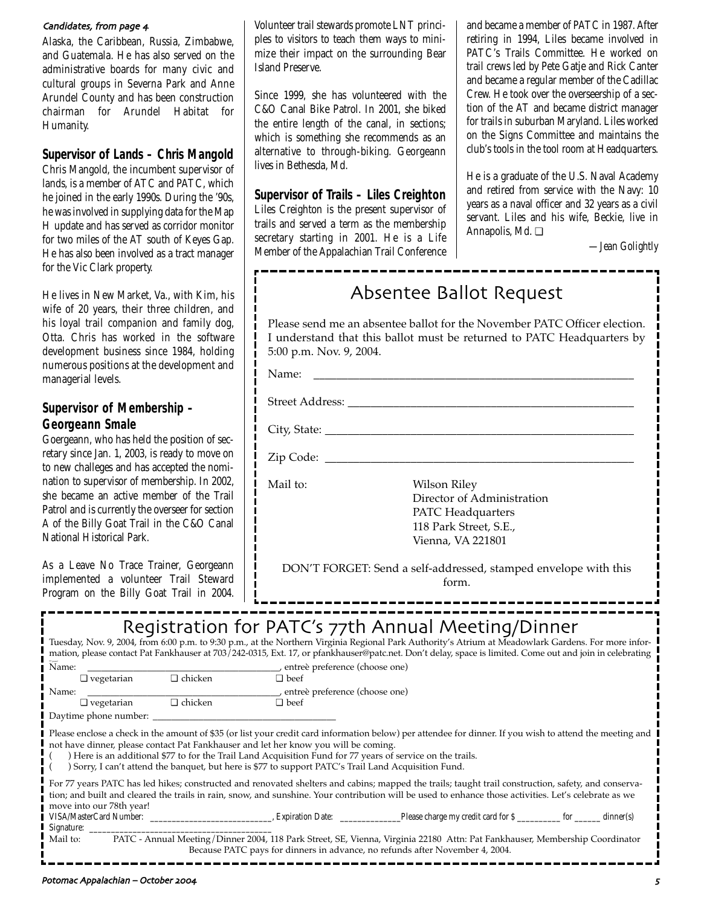### Candidates, from page 4

Alaska, the Caribbean, Russia, Zimbabwe, and Guatemala. He has also served on the administrative boards for many civic and cultural groups in Severna Park and Anne Arundel County and has been construction chairman for Arundel Habitat for Humanity.

## **Supervisor of Lands – Chris Mangold**

Chris Mangold, the incumbent supervisor of lands, is a member of ATC and PATC, which he joined in the early 1990s. During the '90s, he was involved in supplying data for the Map H update and has served as corridor monitor for two miles of the AT south of Keyes Gap. He has also been involved as a tract manager for the Vic Clark property.

He lives in New Market, Va., with Kim, his wife of 20 years, their three children, and his loyal trail companion and family dog, Otta. Chris has worked in the software development business since 1984, holding numerous positions at the development and managerial levels.

## **Supervisor of Membership – Georgeann Smale**

Goergeann, who has held the position of secretary since Jan. 1, 2003, is ready to move on to new challeges and has accepted the nomination to supervisor of membership. In 2002, she became an active member of the Trail Patrol and is currently the overseer for section A of the Billy Goat Trail in the C&O Canal National Historical Park.

As a Leave No Trace Trainer, Georgeann implemented a volunteer Trail Steward Program on the Billy Goat Trail in 2004. Volunteer trail stewards promote LNT principles to visitors to teach them ways to minimize their impact on the surrounding Bear Island Preserve.

Since 1999, she has volunteered with the C&O Canal Bike Patrol. In 2001, she biked the entire length of the canal, in sections; which is something she recommends as an alternative to through-biking. Georgeann lives in Bethesda, Md.

## **Supervisor of Trails – Liles Creighton**

Liles Creighton is the present supervisor of trails and served a term as the membership secretary starting in 2001. He is a Life Member of the Appalachian Trail Conference and became a member of PATC in 1987. After retiring in 1994, Liles became involved in PATC's Trails Committee. He worked on trail crews led by Pete Gatje and Rick Canter and became a regular member of the Cadillac Crew. He took over the overseership of a section of the AT and became district manager for trails in suburban Maryland. Liles worked on the Signs Committee and maintains the club's tools in the tool room at Headquarters.

He is a graduate of the U.S. Naval Academy and retired from service with the Navy: 10 years as a naval officer and 32 years as a civil servant. Liles and his wife, Beckie, live in Annapolis, Md. ❏

\_\_\_\_\_\_\_\_\_\_\_\_\_\_\_\_\_

*—Jean Golightly*

## Absentee Ballot Request

Please send me an absentee ballot for the November PATC Officer election. I understand that this ballot must be returned to PATC Headquarters by 5:00 p.m. Nov. 9, 2004.

Name: \_\_\_\_\_\_\_\_\_\_\_\_\_\_\_\_\_\_\_\_\_\_\_\_\_\_\_\_\_\_\_\_\_\_\_\_\_\_\_\_\_\_\_\_\_\_\_\_\_\_\_\_\_\_\_\_

Street Address: \_\_\_\_\_\_\_\_\_\_\_\_\_\_\_\_\_\_\_\_\_\_\_\_\_\_\_\_\_\_\_\_\_\_\_\_\_\_\_\_\_\_\_\_\_\_\_\_\_\_

City, State: \_\_\_\_\_\_\_\_\_\_\_\_\_\_\_\_\_\_\_\_\_\_\_\_\_\_\_\_\_\_\_\_\_\_\_\_\_\_\_\_\_\_\_\_\_\_\_\_\_\_\_\_\_\_

Zip Code: \_\_\_\_\_\_\_\_\_\_\_\_\_\_\_\_\_\_\_\_\_\_\_\_\_\_\_\_\_\_\_\_\_\_\_\_\_\_\_\_\_\_\_\_\_\_\_\_\_\_\_\_\_\_

Mail to: Wilson Riley Director of Administration PATC Headquarters 118 Park Street, S.E., Vienna, VA 221801

DON'T FORGET: Send a self-addressed, stamped envelope with this form.

## Registration for PATC's 77th Annual Meeting/Dinner

|                                                                                                                                                                                                                                                                                                                                                                                                                                                                       |                   |                               |                                 | Tuesday, Nov. 9, 2004, from 6:00 p.m. to 9:30 p.m., at the Northern Virginia Regional Park Authority's Atrium at Meadowlark Gardens. For more infor-<br>mation, please contact Pat Fankhauser at 703/242-0315, Ext. 17, or pfankhauser@patc.net. Don't delay, space is limited. Come out and join in celebrating |  |  |  |  |
|-----------------------------------------------------------------------------------------------------------------------------------------------------------------------------------------------------------------------------------------------------------------------------------------------------------------------------------------------------------------------------------------------------------------------------------------------------------------------|-------------------|-------------------------------|---------------------------------|------------------------------------------------------------------------------------------------------------------------------------------------------------------------------------------------------------------------------------------------------------------------------------------------------------------|--|--|--|--|
| Name:                                                                                                                                                                                                                                                                                                                                                                                                                                                                 |                   |                               | entre è preference (choose one) |                                                                                                                                                                                                                                                                                                                  |  |  |  |  |
| $\Box$ vegetarian                                                                                                                                                                                                                                                                                                                                                                                                                                                     |                   | □ chicken                     | $\Box$ beef                     |                                                                                                                                                                                                                                                                                                                  |  |  |  |  |
| Name:                                                                                                                                                                                                                                                                                                                                                                                                                                                                 |                   |                               | entreè preference (choose one)  |                                                                                                                                                                                                                                                                                                                  |  |  |  |  |
|                                                                                                                                                                                                                                                                                                                                                                                                                                                                       | $\Box$ vegetarian | $\Box$ chicken                | $\Box$ beef                     |                                                                                                                                                                                                                                                                                                                  |  |  |  |  |
|                                                                                                                                                                                                                                                                                                                                                                                                                                                                       |                   | Daytime phone number: Daytime |                                 |                                                                                                                                                                                                                                                                                                                  |  |  |  |  |
| Please enclose a check in the amount of \$35 (or list your credit card information below) per attendee for dinner. If you wish to attend the meeting and<br>not have dinner, please contact Pat Fankhauser and let her know you will be coming.<br>) Here is an additional \$77 to for the Trail Land Acquisition Fund for 77 years of service on the trails.<br>) Sorry, I can't attend the banquet, but here is \$77 to support PATC's Trail Land Acquisition Fund. |                   |                               |                                 |                                                                                                                                                                                                                                                                                                                  |  |  |  |  |
| For 77 years PATC has led hikes; constructed and renovated shelters and cabins; mapped the trails; taught trail construction, safety, and conserva-<br>tion; and built and cleared the trails in rain, snow, and sunshine. Your contribution will be used to enhance those activities. Let's celebrate as we<br>move into our 78th year!                                                                                                                              |                   |                               |                                 |                                                                                                                                                                                                                                                                                                                  |  |  |  |  |
|                                                                                                                                                                                                                                                                                                                                                                                                                                                                       |                   |                               |                                 | VISA/MasterCard Number: dinner(s) Expiration Date: Please charge my credit card for \$ for dinner(s)                                                                                                                                                                                                             |  |  |  |  |
| PATC - Annual Meeting/Dinner 2004, 118 Park Street, SE, Vienna, Virginia 22180 Attn: Pat Fankhauser, Membership Coordinator<br>Mail to:<br>Because PATC pays for dinners in advance, no refunds after November 4, 2004.                                                                                                                                                                                                                                               |                   |                               |                                 |                                                                                                                                                                                                                                                                                                                  |  |  |  |  |
|                                                                                                                                                                                                                                                                                                                                                                                                                                                                       |                   |                               |                                 |                                                                                                                                                                                                                                                                                                                  |  |  |  |  |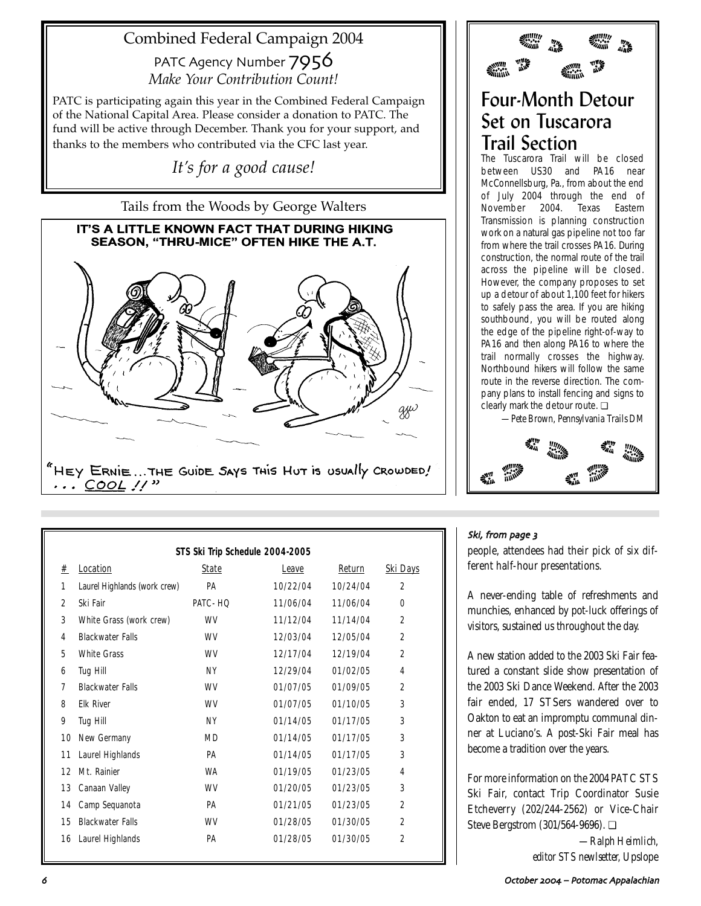## Combined Federal Campaign 2004

PATC Agency Number  $7956$ *Make Your Contribution Count!*

PATC is participating again this year in the Combined Federal Campaign of the National Capital Area. Please consider a donation to PATC. The fund will be active through December. Thank you for your support, and thanks to the members who contributed via the CFC last year.

*It's for a good cause!*

Tails from the Woods by George Walters

# IT'S A LITTLE KNOWN FACT THAT DURING HIKING SEASON, "THRU-MICE" OFTEN HIKE THE A.T. gyv "HEY ERNIE...THE GUIDE SAYS THIS HUT IS USUALLY CROWDED!  $\ldots$  COOL  $\prime\prime$ "

| STS Ski Trip Schedule 2004-2005 |                              |           |          |          |                 |  |  |
|---------------------------------|------------------------------|-----------|----------|----------|-----------------|--|--|
| #                               | Location                     | State     | Leave    | Return   | <u>Ski Days</u> |  |  |
| $\mathbf{1}$                    | Laurel Highlands (work crew) | PA        | 10/22/04 | 10/24/04 | $\overline{2}$  |  |  |
| $\overline{2}$                  | Ski Fair                     | PATC-HQ   | 11/06/04 | 11/06/04 | $\bf{0}$        |  |  |
| 3                               | White Grass (work crew)      | WV        | 11/12/04 | 11/14/04 | $\overline{2}$  |  |  |
| 4                               | <b>Blackwater Falls</b>      | WV        | 12/03/04 | 12/05/04 | $\overline{2}$  |  |  |
| 5                               | <b>White Grass</b>           | WV        | 12/17/04 | 12/19/04 | $\overline{2}$  |  |  |
| 6                               | <b>Tug Hill</b>              | <b>NY</b> | 12/29/04 | 01/02/05 | 4               |  |  |
| 7                               | <b>Blackwater Falls</b>      | WV        | 01/07/05 | 01/09/05 | $\overline{2}$  |  |  |
| 8                               | <b>Elk River</b>             | WV        | 01/07/05 | 01/10/05 | 3               |  |  |
| 9                               | Tug Hill                     | <b>NY</b> | 01/14/05 | 01/17/05 | 3               |  |  |
| 10                              | <b>New Germany</b>           | <b>MD</b> | 01/14/05 | 01/17/05 | 3               |  |  |
| 11                              | Laurel Highlands             | PA        | 01/14/05 | 01/17/05 | 3               |  |  |
| 12                              | Mt. Rainier                  | WA        | 01/19/05 | 01/23/05 | 4               |  |  |
| 13                              | <b>Canaan Valley</b>         | WV        | 01/20/05 | 01/23/05 | 3               |  |  |
| 14                              | Camp Sequanota               | PA        | 01/21/05 | 01/23/05 | $\overline{2}$  |  |  |
| 15                              | <b>Blackwater Falls</b>      | WV        | 01/28/05 | 01/30/05 | $\overline{2}$  |  |  |
| 16                              | Laurel Highlands             | PA        | 01/28/05 | 01/30/05 | $\overline{2}$  |  |  |

## Four-Month Detour Set on Tuscarora Trail Section

The Tuscarora Trail will be closed between US30 and PA16 near McConnellsburg, Pa., from about the end of July 2004 through the end of November 2004. Texas Eastern Transmission is planning construction work on a natural gas pipeline not too far from where the trail crosses PA16. During construction, the normal route of the trail across the pipeline will be closed. However, the company proposes to set up a detour of about 1,100 feet for hikers to safely pass the area. If you are hiking southbound, you will be routed along the edge of the pipeline right-of-way to PA16 and then along PA16 to where the trail normally crosses the highway. Northbound hikers will follow the same route in the reverse direction. The company plans to install fencing and signs to clearly mark the detour route. ❏

*—Pete Brown, Pennsylvania Trails DM*



## Ski, from page 3

people, attendees had their pick of six different half-hour presentations.

A never-ending table of refreshments and munchies, enhanced by pot-luck offerings of visitors, sustained us throughout the day.

A new station added to the 2003 Ski Fair featured a constant slide show presentation of the 2003 Ski Dance Weekend. After the 2003 fair ended, 17 STSers wandered over to Oakton to eat an impromptu communal dinner at Luciano's. A post-Ski Fair meal has become a tradition over the years.

For more information on the 2004 PATC STS Ski Fair, contact Trip Coordinator Susie Etcheverry (202/244-2562) or Vice-Chair Steve Bergstrom (301/564-9696). ❏

> *—Ralph Heimlich, editor STS newlsetter,* Upslope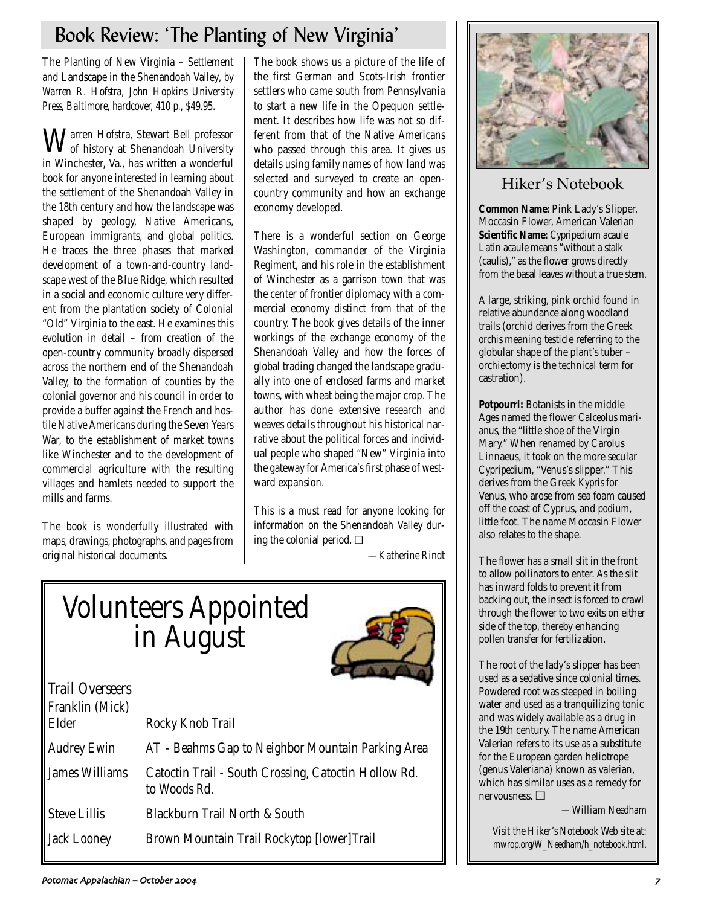## Book Review: 'The Planting of New Virginia'

The Planting of New Virginia – Settlement and Landscape in the Shenandoah Valley*, by Warren R. Hofstra, John Hopkins University Press, Baltimore, hardcover, 410 p., \$49.95.*

Warren Hofstra, Stewart Bell professor of history at Shenandoah University in Winchester, Va., has written a wonderful book for anyone interested in learning about the settlement of the Shenandoah Valley in the 18th century and how the landscape was shaped by geology, Native Americans, European immigrants, and global politics. He traces the three phases that marked development of a town-and-country landscape west of the Blue Ridge, which resulted in a social and economic culture very different from the plantation society of Colonial "Old" Virginia to the east. He examines this evolution in detail – from creation of the open-country community broadly dispersed across the northern end of the Shenandoah Valley, to the formation of counties by the colonial governor and his council in order to provide a buffer against the French and hostile Native Americans during the Seven Years War, to the establishment of market towns like Winchester and to the development of commercial agriculture with the resulting villages and hamlets needed to support the mills and farms.

The book is wonderfully illustrated with maps, drawings, photographs, and pages from original historical documents.

The book shows us a picture of the life of the first German and Scots-Irish frontier settlers who came south from Pennsylvania to start a new life in the Opequon settlement. It describes how life was not so different from that of the Native Americans who passed through this area. It gives us details using family names of how land was selected and surveyed to create an opencountry community and how an exchange economy developed.

There is a wonderful section on George Washington, commander of the Virginia Regiment, and his role in the establishment of Winchester as a garrison town that was the center of frontier diplomacy with a commercial economy distinct from that of the country. The book gives details of the inner workings of the exchange economy of the Shenandoah Valley and how the forces of global trading changed the landscape gradually into one of enclosed farms and market towns, with wheat being the major crop. The author has done extensive research and weaves details throughout his historical narrative about the political forces and individual people who shaped "New" Virginia into the gateway for America's first phase of westward expansion.

This is a must read for anyone looking for information on the Shenandoah Valley during the colonial period. ❏

*—Katherine Rindt*

## Volunteers Appointed in August



## *Trail Overseers*

| Franklin (Mick)<br>Elder | Rocky Knob Trail                                                     |
|--------------------------|----------------------------------------------------------------------|
|                          |                                                                      |
| <b>Audrey Ewin</b>       | AT - Beahms Gap to Neighbor Mountain Parking Area                    |
| <b>James Williams</b>    | Catoctin Trail - South Crossing, Catoctin Hollow Rd.<br>to Woods Rd. |
| <b>Steve Lillis</b>      | Blackburn Trail North & South                                        |
| Jack Looney              | Brown Mountain Trail Rockytop [lower]Trail                           |
|                          |                                                                      |



## Hiker's Notebook

**Common Name:** Pink Lady's Slipper, Moccasin Flower, American Valerian **Scientific Name:** *Cypripedium acaule* Latin *acaule* means "without a stalk (caulis)," as the flower grows directly from the basal leaves without a true stem.

A large, striking, pink orchid found in relative abundance along woodland trails (orchid derives from the Greek *orchis* meaning testicle referring to the globular shape of the plant's tuber – orchiectomy is the technical term for castration).

**Potpourri:** Botanists in the middle Ages named the flower *Calceolus marianus*, the "little shoe of the Virgin Mary." When renamed by Carolus Linnaeus, it took on the more secular *Cypripedium*, "Venus's slipper." This derives from the Greek *Kypris* for Venus, who arose from sea foam caused off the coast of Cyprus, and *podium*, little foot. The name Moccasin Flower also relates to the shape.

The flower has a small slit in the front to allow pollinators to enter. As the slit has inward folds to prevent it from backing out, the insect is forced to crawl through the flower to two exits on either side of the top, thereby enhancing pollen transfer for fertilization.

The root of the lady's slipper has been used as a sedative since colonial times. Powdered root was steeped in boiling water and used as a tranquilizing tonic and was widely available as a drug in the 19th century. The name American Valerian refers to its use as a substitute for the European garden heliotrope (genus Valeriana) known as valerian, which has similar uses as a remedy for nervousness. ❏

*—William Needham*

*Visit the Hiker's Notebook Web site at: mwrop.org/W\_Needham/h\_notebook.html.*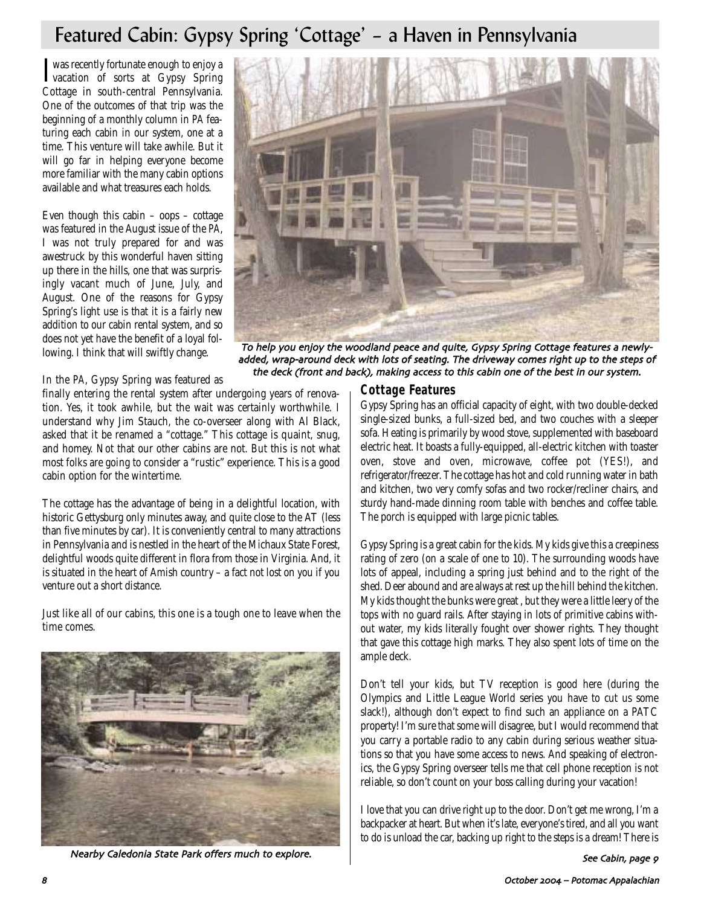## Featured Cabin: Gypsy Spring 'Cottage' – a Haven in Pennsylvania

**I** was recently fortunate enough to enjoy a<br>vacation of sorts at Gypsy Spring vacation of sorts at Gypsy Spring Cottage in south-central Pennsylvania. One of the outcomes of that trip was the beginning of a monthly column in *PA* featuring each cabin in our system, one at a time. This venture will take awhile. But it will go far in helping everyone become more familiar with the many cabin options available and what treasures each holds.

Even though this cabin  $-$  oops  $-$  cottage was featured in the August issue of the *PA*, I was not truly prepared for and was awestruck by this wonderful haven sitting up there in the hills, one that was surprisingly vacant much of June, July, and August. One of the reasons for Gypsy Spring's light use is that it is a fairly new addition to our cabin rental system, and so does not yet have the benefit of a loyal following. I think that will swiftly change.



To help you enjoy the woodland peace and quite, Gypsy Spring Cottage features a newlyadded, wrap-around deck with lots of seating. The driveway comes right up to the steps of the deck (front and back), making access to this cabin one of the best in our system.

In the *PA*, Gypsy Spring was featured as

finally entering the rental system after undergoing years of renovation. Yes, it took awhile, but the wait was certainly worthwhile. I understand why Jim Stauch, the co-overseer along with Al Black, asked that it be renamed a "cottage." This cottage is quaint, snug, and homey. Not that our other cabins are not. But this is not what most folks are going to consider a "rustic" experience. This is a good cabin option for the wintertime.

The cottage has the advantage of being in a delightful location, with historic Gettysburg only minutes away, and quite close to the AT (less than five minutes by car). It is conveniently central to many attractions in Pennsylvania and is nestled in the heart of the Michaux State Forest, delightful woods quite different in flora from those in Virginia. And, it is situated in the heart of Amish country – a fact not lost on you if you venture out a short distance.

Just like all of our cabins, this one is a tough one to leave when the time comes.



Nearby Caledonia State Park offers much to explore.

## **Cottage Features**

Gypsy Spring has an official capacity of eight, with two double-decked single-sized bunks, a full-sized bed, and two couches with a sleeper sofa. Heating is primarily by wood stove, supplemented with baseboard electric heat. It boasts a fully-equipped, all-electric kitchen with toaster oven, stove and oven, microwave, coffee pot (YES!), and refrigerator/freezer. The cottage has hot and cold running water in bath and kitchen, two very comfy sofas and two rocker/recliner chairs, and sturdy hand-made dinning room table with benches and coffee table. The porch is equipped with large picnic tables.

Gypsy Spring is a great cabin for the kids. My kids give this a creepiness rating of zero (on a scale of one to 10). The surrounding woods have lots of appeal, including a spring just behind and to the right of the shed. Deer abound and are always at rest up the hill behind the kitchen. My kids thought the bunks were great , but they were a little leery of the tops with no guard rails. After staying in lots of primitive cabins without water, my kids literally fought over shower rights. They thought that gave this cottage high marks. They also spent lots of time on the ample deck.

Don't tell your kids, but TV reception is good here (during the Olympics and Little League World series you have to cut us some slack!), although don't expect to find such an appliance on a PATC property! I'm sure that some will disagree, but I would recommend that you carry a portable radio to any cabin during serious weather situations so that you have some access to news. And speaking of electronics, the Gypsy Spring overseer tells me that cell phone reception is not reliable, so don't count on your boss calling during your vacation!

I love that you can drive right up to the door. Don't get me wrong, I'm a backpacker at heart. But when it's late, everyone's tired, and all you want to do is unload the car, backing up right to the steps is a dream! There is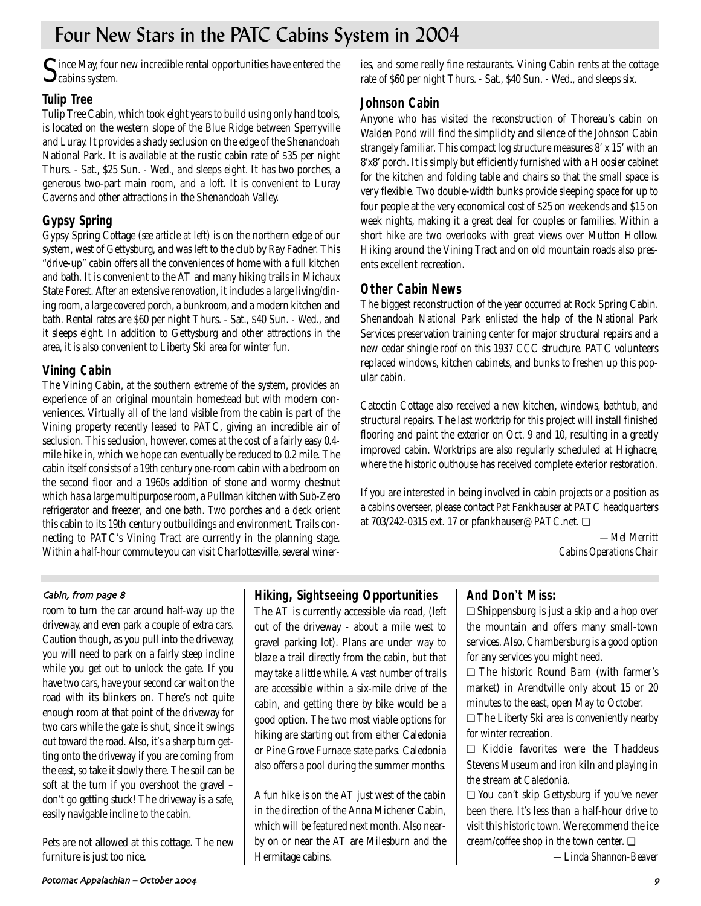## Four New Stars in the PATC Cabins System in 2004

 $\mathbf S$ ince May, four new incredible rental opportunities have entered the cabins system.

## **Tulip Tree**

Tulip Tree Cabin, which took eight years to build using only hand tools, is located on the western slope of the Blue Ridge between Sperryville and Luray. It provides a shady seclusion on the edge of the Shenandoah National Park. It is available at the rustic cabin rate of \$35 per night Thurs. - Sat., \$25 Sun. - Wed., and sleeps eight. It has two porches, a generous two-part main room, and a loft. It is convenient to Luray Caverns and other attractions in the Shenandoah Valley.

## **Gypsy Spring**

Gypsy Spring Cottage (*see article at left*) is on the northern edge of our system, west of Gettysburg, and was left to the club by Ray Fadner. This "drive-up" cabin offers all the conveniences of home with a full kitchen and bath. It is convenient to the AT and many hiking trails in Michaux State Forest. After an extensive renovation, it includes a large living/dining room, a large covered porch, a bunkroom, and a modern kitchen and bath. Rental rates are \$60 per night Thurs. - Sat., \$40 Sun. - Wed., and it sleeps eight. In addition to Gettysburg and other attractions in the area, it is also convenient to Liberty Ski area for winter fun.

## **Vining Cabin**

The Vining Cabin, at the southern extreme of the system, provides an experience of an original mountain homestead but with modern conveniences. Virtually all of the land visible from the cabin is part of the Vining property recently leased to PATC, giving an incredible air of seclusion. This seclusion, however, comes at the cost of a fairly easy 0.4 mile hike in, which we hope can eventually be reduced to 0.2 mile. The cabin itself consists of a 19th century one-room cabin with a bedroom on the second floor and a 1960s addition of stone and wormy chestnut which has a large multipurpose room, a Pullman kitchen with Sub-Zero refrigerator and freezer, and one bath. Two porches and a deck orient this cabin to its 19th century outbuildings and environment. Trails connecting to PATC's Vining Tract are currently in the planning stage. Within a half-hour commute you can visit Charlottesville, several wineries, and some really fine restaurants. Vining Cabin rents at the cottage rate of \$60 per night Thurs. - Sat., \$40 Sun. - Wed., and sleeps six.

## **Johnson Cabin**

Anyone who has visited the reconstruction of Thoreau's cabin on Walden Pond will find the simplicity and silence of the Johnson Cabin strangely familiar. This compact log structure measures 8' x 15' with an 8'x8' porch. It is simply but efficiently furnished with a Hoosier cabinet for the kitchen and folding table and chairs so that the small space is very flexible. Two double-width bunks provide sleeping space for up to four people at the very economical cost of \$25 on weekends and \$15 on week nights, making it a great deal for couples or families. Within a short hike are two overlooks with great views over Mutton Hollow. Hiking around the Vining Tract and on old mountain roads also presents excellent recreation.

## **Other Cabin News**

The biggest reconstruction of the year occurred at Rock Spring Cabin. Shenandoah National Park enlisted the help of the National Park Services preservation training center for major structural repairs and a new cedar shingle roof on this 1937 CCC structure. PATC volunteers replaced windows, kitchen cabinets, and bunks to freshen up this popular cabin.

Catoctin Cottage also received a new kitchen, windows, bathtub, and structural repairs. The last worktrip for this project will install finished flooring and paint the exterior on Oct. 9 and 10, resulting in a greatly improved cabin. Worktrips are also regularly scheduled at Highacre, where the historic outhouse has received complete exterior restoration.

If you are interested in being involved in cabin projects or a position as a cabins overseer, please contact Pat Fankhauser at PATC headquarters at 703/242-0315 ext. 17 or pfankhauser@PATC.net. ❏

> *—Mel Merritt Cabins Operations Chair*

## Cabin, from page 8

room to turn the car around half-way up the driveway, and even park a couple of extra cars. Caution though, as you pull into the driveway, you will need to park on a fairly steep incline while you get out to unlock the gate. If you have two cars, have your second car wait on the road with its blinkers on. There's not quite enough room at that point of the driveway for two cars while the gate is shut, since it swings out toward the road. Also, it's a sharp turn getting onto the driveway if you are coming from the east, so take it slowly there. The soil can be soft at the turn if you overshoot the gravel – don't go getting stuck! The driveway is a safe, easily navigable incline to the cabin.

Pets are not allowed at this cottage. The new furniture is just too nice.

## **Hiking, Sightseeing Opportunities**

The AT is currently accessible via road, (left out of the driveway - about a mile west to gravel parking lot). Plans are under way to blaze a trail directly from the cabin, but that may take a little while. A vast number of trails are accessible within a six-mile drive of the cabin, and getting there by bike would be a good option. The two most viable options for hiking are starting out from either Caledonia or Pine Grove Furnace state parks. Caledonia also offers a pool during the summer months.

A fun hike is on the AT just west of the cabin in the direction of the Anna Michener Cabin, which will be featured next month. Also nearby on or near the AT are Milesburn and the Hermitage cabins.

## **And Don**'**t Miss:**

❏ Shippensburg is just a skip and a hop over the mountain and offers many small-town services. Also, Chambersburg is a good option for any services you might need.

❏ The historic Round Barn (with farmer's market) in Arendtville only about 15 or 20 minutes to the east, open May to October.

❏ The Liberty Ski area is conveniently nearby for winter recreation.

❏ Kiddie favorites were the Thaddeus Stevens Museum and iron kiln and playing in the stream at Caledonia.

❏ You can't skip Gettysburg if you've never been there. It's less than a half-hour drive to visit this historic town. We recommend the ice cream/coffee shop in the town center. ❏

*—Linda Shannon-Beaver*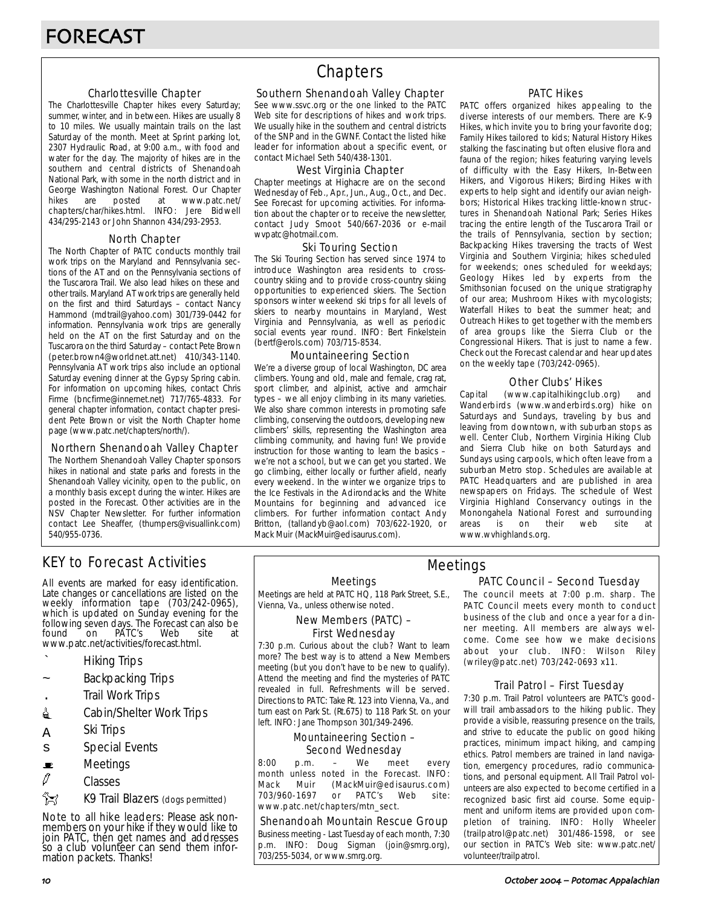### Charlottesville Chapter

The Charlottesville Chapter hikes every Saturday; summer, winter, and in between. Hikes are usually 8 to 10 miles. We usually maintain trails on the last Saturday of the month. Meet at Sprint parking lot, 2307 Hydraulic Road, at 9:00 a.m., with food and water for the day. The majority of hikes are in the southern and central districts of Shenandoah National Park, with some in the north district and in George Washington National Forest. Our Chapter<br>hikes are posted at www.patc.net/ hikes are posted at www.patc.net/ chapters/char/hikes.html. INFO: Jere Bidwell 434/295-2143 or John Shannon 434/293-2953.

### North Chapter

The North Chapter of PATC conducts monthly trail work trips on the Maryland and Pennsylvania sections of the AT and on the Pennsylvania sections of the Tuscarora Trail. We also lead hikes on these and other trails. Maryland AT work trips are generally held on the first and third Saturdays – contact Nancy Hammond (mdtrail@yahoo.com) 301/739-0442 for information. Pennsylvania work trips are generally held on the AT on the first Saturday and on the Tuscarora on the third Saturday – contact Pete Brown (peter.brown4@worldnet.att.net) 410/343-1140. Pennsylvania AT work trips also include an optional Saturday evening dinner at the Gypsy Spring cabin. For information on upcoming hikes, contact Chris Firme (bncfirme@innernet.net) 717/765-4833. For general chapter information, contact chapter president Pete Brown or visit the North Chapter home page (www.patc.net/chapters/north/).

#### Northern Shenandoah Valley Chapter

The Northern Shenandoah Valley Chapter sponsors hikes in national and state parks and forests in the Shenandoah Valley vicinity, open to the public, on a monthly basis except during the winter. Hikes are posted in the Forecast. Other activities are in the NSV Chapter Newsletter. For further information contact Lee Sheaffer, (thumpers@visuallink.com) 540/955-0736.

## **Chapters**

#### Southern Shenandoah Valley Chapter

See www.ssvc.org or the one linked to the PATC Web site for descriptions of hikes and work trips. We usually hike in the southern and central districts of the SNP and in the GWNF. Contact the listed hike leader for information about a specific event, or contact Michael Seth 540/438-1301.

#### West Virginia Chapter

Chapter meetings at Highacre are on the second Wednesday of Feb., Apr., Jun., Aug., Oct., and Dec. See Forecast for upcoming activities. For information about the chapter or to receive the newsletter, contact Judy Smoot 540/667-2036 or e-mail wvpatc@hotmail.com.

#### Ski Touring Section

The Ski Touring Section has served since 1974 to introduce Washington area residents to crosscountry skiing and to provide cross-country skiing opportunities to experienced skiers. The Section sponsors winter weekend ski trips for all levels of skiers to nearby mountains in Maryland, West Virginia and Pennsylvania, as well as periodic social events year round. INFO: Bert Finkelstein (bertf@erols.com) 703/715-8534.

#### Mountaineering Section

We're a diverse group of local Washington, DC area climbers. Young and old, male and female, crag rat, sport climber, and alpinist, active and armchair types – we all enjoy climbing in its many varieties. We also share common interests in promoting safe climbing, conserving the outdoors, developing new climbers' skills, representing the Washington area climbing community, and having fun! We provide instruction for those wanting to learn the basics – we're not a school, but we can get you started. We go climbing, either locally or further afield, nearly every weekend. In the winter we organize trips to the Ice Festivals in the Adirondacks and the White Mountains for beginning and advanced ice climbers. For further information contact Andy Britton, (tallandyb@aol.com) 703/622-1920, or Mack Muir (MackMuir@edisaurus.com).

### PATC Hikes

PATC offers organized hikes appealing to the diverse interests of our members. There are K-9 Hikes, which invite you to bring your favorite dog; Family Hikes tailored to kids; Natural History Hikes stalking the fascinating but often elusive flora and fauna of the region; hikes featuring varying levels of difficulty with the Easy Hikers, In-Between Hikers, and Vigorous Hikers; Birding Hikes with experts to help sight and identify our avian neighbors; Historical Hikes tracking little-known structures in Shenandoah National Park; Series Hikes tracing the entire length of the Tuscarora Trail or the trails of Pennsylvania, section by section; Backpacking Hikes traversing the tracts of West Virginia and Southern Virginia; hikes scheduled for weekends; ones scheduled for weekdays; Geology Hikes led by experts from the Smithsonian focused on the unique stratigraphy of our area; Mushroom Hikes with mycologists; Waterfall Hikes to beat the summer heat; and Outreach Hikes to get together with the members of area groups like the Sierra Club or the Congressional Hikers. That is just to name a few. Check out the Forecast calendar and hear updates on the weekly tape (703/242-0965).

### Other Clubs' Hikes

Capital (www.capitalhikingclub.org) and Wanderbirds (www.wanderbirds.org) hike on Saturdays and Sundays, traveling by bus and leaving from downtown, with suburban stops as well. Center Club, Northern Virginia Hiking Club and Sierra Club hike on both Saturdays and Sundays using carpools, which often leave from a suburban Metro stop. Schedules are available at PATC Headquarters and are published in area newspapers on Fridays. The schedule of West Virginia Highland Conservancy outings in the Monongahela National Forest and surrounding<br>areas is on their web site at areas is on their web site at www.wvhighlands.org.

## KEY to Forecast Activities

All events are marked for easy identification. Late changes or cancellations are listed on the weekly information tape (703/242-0965), which is updated on Sunday evening for the following seven days. The Forecast can also be<br>found on PATC's Web site at PÁTC's www.patc.net/activities/forecast.html.

- ` Hiking Trips
- Backpacking Trips
- . Trail Work Trips
- **i** Cabin/Shelter Work Trips
- A Ski Trips
- s Special Events
- $\blacksquare$  Meetings
- $\varnothing$  Classes
- **EX** K9 Trail Blazers (dogs permitted)

Note to all hike leaders: Please ask nonmembers on your hike if they would like to join PATC, then get names and addresses so a club volunteer can send them information packets. Thanks!

Meetings

Meetings are held at PATC HQ, 118 Park Street, S.E., Vienna, Va., unless otherwise noted.

### New Members (PATC) – First Wednesday

7:30 p.m. Curious about the club? Want to learn more? The best way is to attend a New Members meeting (but you don't have to be new to qualify). Attend the meeting and find the mysteries of PATC revealed in full. Refreshments will be served. Directions to PATC: Take Rt. 123 into Vienna, Va., and turn east on Park St. (Rt.675) to 118 Park St. on your left. INFO: Jane Thompson 301/349-2496.

## Mountaineering Section – Second Wednesday

8:00 p.m. – We meet every month unless noted in the Forecast. INFO: Mack Muir (MackMuir@edisaurus.com) 703/960-1697 or PATC's Web site: www.patc.net/chapters/mtn\_sect.

#### Shenandoah Mountain Rescue Group

Business meeting - Last Tuesday of each month, 7:30 p.m. INFO: Doug Sigman (join@smrg.org), 703/255-5034, or www.smrg.org.

## PATC Council – Second Tuesday Meetings

The council meets at 7:00 p.m. sharp. The PATC Council meets every month to conduct business of the club and once a year for a dinner meeting. All members are always welcome. Come see how we make decisions about your club. INFO: Wilson Riley (wriley@patc.net) 703/242-0693 x11.

### Trail Patrol – First Tuesday

7:30 p.m. Trail Patrol volunteers are PATC's goodwill trail ambassadors to the hiking public. They provide a visible, reassuring presence on the trails, and strive to educate the public on good hiking practices, minimum impact hiking, and camping ethics. Patrol members are trained in land navigation, emergency procedures, radio communications, and personal equipment. All Trail Patrol volunteers are also expected to become certified in a recognized basic first aid course. Some equipment and uniform items are provided upon completion of training. INFO: Holly Wheeler (trailpatrol@patc.net) 301/486-1598, or see our section in PATC's Web site: www.patc.net/ volunteer/trailpatrol.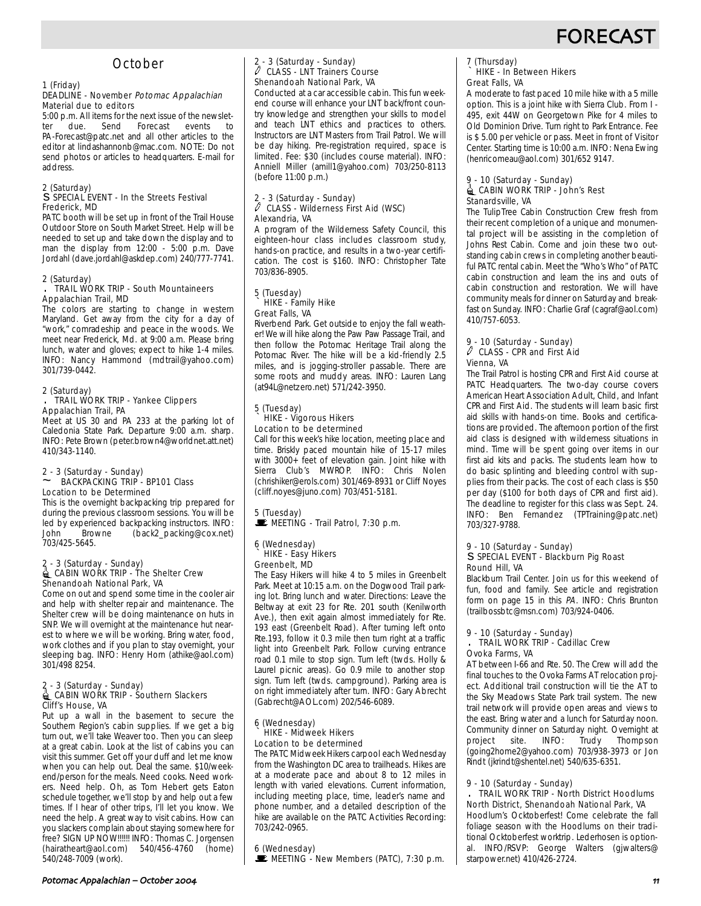## **FORECAS**

## **October**

### 1 (Friday)

### DEADLINE - November Potomac Appalachian Material due to editors

5:00 p.m. All items for the next issue of the newslet-<br>ter due. Send Forecast events to ter due. Send Forecast events to PA-Forecast@patc.net and all other articles to the editor at lindashannonb@mac.com. NOTE: Do not send photos or articles to headquarters. E-mail for address.

#### 2 (Saturday) s SPECIAL EVENT - In the Streets Festival Frederick, MD

PATC booth will be set up in front of the Trail House Outdoor Store on South Market Street. Help will be needed to set up and take down the display and to man the display from  $12:00 - 5:00$  p.m. Dave Jordahl (dave.jordahl@askdep.com) 240/777-7741.

#### 2 (Saturday)

#### . TRAIL WORK TRIP - South Mountaineers Appalachian Trail, MD

The colors are starting to change in western Maryland. Get away from the city for a day of "work," comradeship and peace in the woods. We meet near Frederick, Md. at 9:00 a.m. Please bring lunch, water and gloves; expect to hike 1-4 miles. INFO: Nancy Hammond (mdtrail@yahoo.com) 301/739-0442.

## 2 (Saturday)

#### . TRAIL WORK TRIP - Yankee Clippers Appalachian Trail, PA

Meet at US 30 and PA 233 at the parking lot of Caledonia State Park. Departure 9:00 a.m. sharp. INFO: Pete Brown (peter.brown4@worldnet.att.net) 410/343-1140.

## 2 - 3 (Saturday - Sunday) ~ BACKPACKING TRIP - BP101 Class Location to be Determined

This is the overnight backpacking trip prepared for during the previous classroom sessions. You will be led by experienced backpacking instructors. INFO:<br>John Browne (back2 packing@cox net) (back2\_packing@cox.net) 703/425-5645.

#### 2 - 3 (Saturday - Sunday) **| CABIN WORK TRIP - The Shelter Crew** Shenandoah National Park, VA

Come on out and spend some time in the cooler air and help with shelter repair and maintenance. The Shelter crew will be doing maintenance on huts in SNP. We will overnight at the maintenance hut nearest to where we will be working. Bring water, food, work clothes and if you plan to stay overnight, your sleeping bag. INFO: Henry Horn (athike@aol.com) 301/498 8254.

#### 2 - 3 (Saturday - Sunday) **△ CABIN WORK TRIP - Southern Slackers** Cliff's House, VA

Put up a wall in the basement to secure the Southern Region's cabin supplies. If we get a big turn out, we'll take Weaver too. Then you can sleep at a great cabin. Look at the list of cabins you can visit this summer. Get off your duff and let me know when you can help out. Deal the same. \$10/weekend/person for the meals. Need cooks. Need workers. Need help. Oh, as Tom Hebert gets Eaton schedule together, we'll stop by and help out a few times. If I hear of other trips, I'll let you know. We need the help. A great way to visit cabins. How can you slackers complain about staying somewhere for free? SIGN UP NOW!!!!!! INFO: Thomas C. Jorgensen (hairatheart@aol.com) 540/456-4760 (home) 540/248-7009 (work).

## 2 - 3 (Saturday - Sunday) a CLASS - LNT Trainers Course Shenandoah National Park, VA

Conducted at a car accessible cabin. This fun weekend course will enhance your LNT back/front country knowledge and strengthen your skills to model and teach LNT ethics and practices to others. Instructors are LNT Masters from Trail Patrol. We will be day hiking. Pre-registration required, space is limited. Fee: \$30 (includes course material). INFO: Anniell Miller (amill1@yahoo.com) 703/250-8113 (before 11:00 p.m.)

## 2 - 3 (Saturday - Sunday) a CLASS - Wilderness First Aid (WSC) Alexandria, VA

A program of the Wilderness Safety Council, this eighteen-hour class includes classroom study, hands-on practice, and results in a two-year certification. The cost is \$160. INFO: Christopher Tate 703/836-8905.

#### 5 (Tuesday) ` HIKE - Family Hike Great Falls, VA

Riverbend Park. Get outside to enjoy the fall weather! We will hike along the Paw Paw Passage Trail, and then follow the Potomac Heritage Trail along the Potomac River. The hike will be a kid-friendly 2.5 miles, and is jogging-stroller passable. There are some roots and muddy areas. INFO: Lauren Lang (at94L@netzero.net) 571/242-3950.

#### 5 (Tuesday) ` HIKE - Vigorous Hikers Location to be determined

Call for this week's hike location, meeting place and time. Briskly paced mountain hike of 15-17 miles with 3000+ feet of elevation gain. Joint hike with Sierra Club's MWROP. INFO: Chris Nolen (chrishiker@erols.com) 301/469-8931 or Cliff Noyes (cliff.noyes@juno.com) 703/451-5181.

## 5 (Tuesday)

 $\mathcal{L}$  MEETING - Trail Patrol, 7:30 p.m.

#### 6 (Wednesday) ` HIKE - Easy Hikers Greenbelt, MD

The Easy Hikers will hike 4 to 5 miles in Greenbelt Park. Meet at 10:15 a.m. on the Dogwood Trail parking lot. Bring lunch and water. Directions: Leave the Beltway at exit 23 for Rte. 201 south (Kenilworth Ave.), then exit again almost immediately for Rte. 193 east (Greenbelt Road). After turning left onto Rte.193, follow it 0.3 mile then turn right at a traffic light into Greenbelt Park. Follow curving entrance road 0.1 mile to stop sign. Turn left (twds. Holly & Laurel picnic areas). Go 0.9 mile to another stop sign. Turn left (twds. campground). Parking area is on right immediately after turn. INFO: Gary Abrecht (Gabrecht@AOL.com) 202/546-6089.

#### 6 (Wednesday) ` HIKE - Midweek Hikers Location to be determined

The PATC Midweek Hikers carpool each Wednesday from the Washington DC area to trailheads. Hikes are at a moderate pace and about 8 to 12 miles in length with varied elevations. Current information, including meeting place, time, leader's name and phone number, and a detailed description of the hike are available on the PATC Activities Recording: 703/242-0965.

#### 6 (Wednesday)

 $\mathbf{\mathbf{\mathbf{\mathbb{E}}}}$  MEETING - New Members (PATC), 7:30 p.m.

## 7 (Thursday) ` HIKE - In Between Hikers Great Falls, VA

A moderate to fast paced 10 mile hike with a 5 mille option. This is a joint hike with Sierra Club. From I - 495, exit 44W on Georgetown Pike for 4 miles to Old Dominion Drive. Turn right to Park Entrance. Fee is \$ 5.00 per vehicle or pass. Meet in front of Visitor Center. Starting time is 10:00 a.m. INFO: Nena Ewing (henricomeau@aol.com) 301/652 9147.

#### 9 - 10 (Saturday - Sunday)  $\triangleq$  CABIN WORK TRIP - John's Rest Stanardsville, VA

The TulipTree Cabin Construction Crew fresh from their recent completion of a unique and monumental project will be assisting in the completion of Johns Rest Cabin. Come and join these two outstanding cabin crews in completing another beautiful PATC rental cabin. Meet the "Who's Who" of PATC cabin construction and learn the ins and outs of cabin construction and restoration. We will have community meals for dinner on Saturday and breakfast on Sunday. INFO: Charlie Graf (cagraf@aol.com) 410/757-6053.

#### 9 - 10 (Saturday - Sunday)  $\ell$  CLASS - CPR and First Aid Vienna, VA

The Trail Patrol is hosting CPR and First Aid course at PATC Headquarters. The two-day course covers American Heart Association Adult, Child, and Infant CPR and First Aid. The students will learn basic first aid skills with hands-on time. Books and certifications are provided. The afternoon portion of the first aid class is designed with wilderness situations in mind. Time will be spent going over items in our first aid kits and packs. The students learn how to do basic splinting and bleeding control with supplies from their packs. The cost of each class is \$50 per day (\$100 for both days of CPR and first aid). The deadline to register for this class was Sept. 24. INFO: Ben Fernandez (TPTraining@patc.net) 703/327-9788.

#### 9 - 10 (Saturday - Sunday) s SPECIAL EVENT - Blackburn Pig Roast Round Hill, VA

Blackburn Trail Center. Join us for this weekend of fun, food and family. See article and registration form on page 15 in this PA. INFO: Chris Brunton (trailbossbtc@msn.com) 703/924-0406.

#### 9 - 10 (Saturday - Sunday) . TRAIL WORK TRIP - Cadillac Crew Ovoka Farms, VA

AT between I-66 and Rte. 50. The Crew will add the final touches to the Ovoka Farms AT relocation project. Additional trail construction will tie the AT to the Sky Meadows State Park trail system. The new trail network will provide open areas and views to the east. Bring water and a lunch for Saturday noon. Community dinner on Saturday night. Overnight at project site. INFO: Trudy Thompson (going2home2@yahoo.com) 703/938-3973 or Jon Rindt (jkrindt@shentel.net) 540/635-6351.

#### 9 - 10 (Saturday - Sunday)

. TRAIL WORK TRIP - North District Hoodlums North District, Shenandoah National Park, VA Hoodlum's Ocktoberfest! Come celebrate the fall

foliage season with the Hoodlums on their traditional Ocktoberfest worktrip. Lederhosen is optional. INFO/RSVP: George Walters (gjwalters@ starpower.net) 410/426-2724.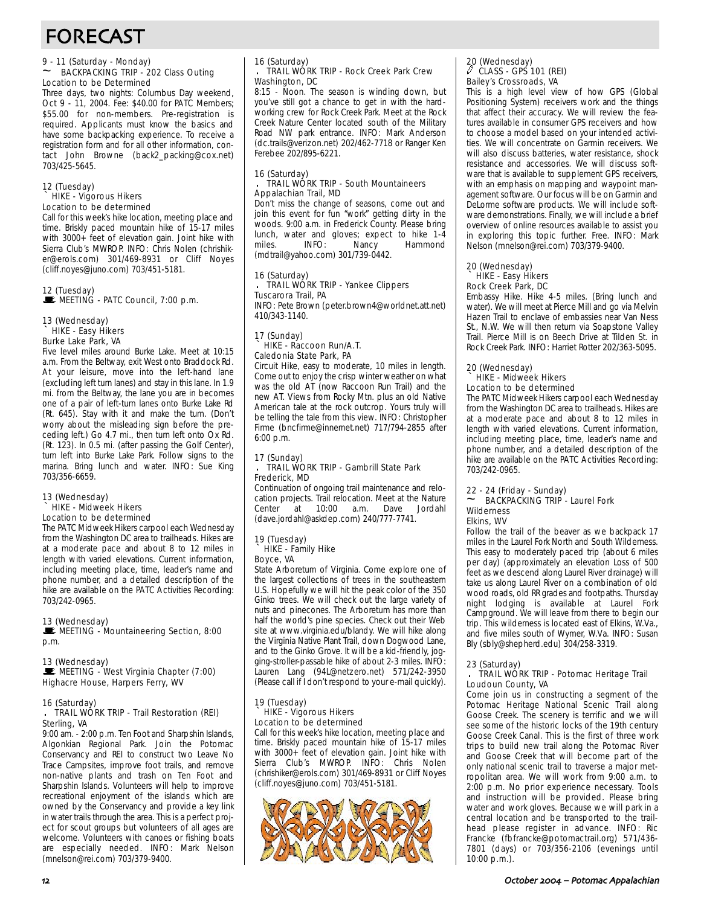## FORECAST

#### 9 - 11 (Saturday - Monday) ~ BACKPACKING TRIP - 202 Class Outing Location to be Determined

Three days, two nights: Columbus Day weekend, Oct 9 - 11, 2004. Fee: \$40.00 for PATC Members; \$55.00 for non-members. Pre-registration is required. Applicants must know the basics and have some backpacking experience. To receive a registration form and for all other information, contact John Browne (back2\_packing@cox.net) 703/425-5645.

#### 12 (Tuesday) HIKE - Vigorous Hikers Location to be determined

Call for this week's hike location, meeting place and time. Briskly paced mountain hike of 15-17 miles with 3000+ feet of elevation gain. Joint hike with Sierra Club's MWROP. INFO: Chris Nolen (chrishiker@erols.com) 301/469-8931 or Cliff Noyes (cliff.noyes@juno.com) 703/451-5181.

#### 12 (Tuesday)  $\blacksquare$  MEETING - PATC Council, 7:00 p.m.

#### 13 (Wednesday) ` HIKE - Easy Hikers Burke Lake Park, VA

Five level miles around Burke Lake. Meet at 10:15 a.m. From the Beltway, exit West onto Braddock Rd. At your leisure, move into the left-hand lane (excluding left turn lanes) and stay in this lane. In 1.9 mi. from the Beltway, the lane you are in becomes one of a pair of left-turn lanes onto Burke Lake Rd (Rt. 645). Stay with it and make the turn. (Don't worry about the misleading sign before the preceding left.) Go 4.7 mi., then turn left onto Ox Rd. (Rt. 123). In 0.5 mi. (after passing the Golf Center), turn left into Burke Lake Park. Follow signs to the marina. Bring lunch and water. INFO: Sue King 703/356-6659.

#### 13 (Wednesday) ` HIKE - Midweek Hikers Location to be determined

The PATC Midweek Hikers carpool each Wednesday from the Washington DC area to trailheads. Hikes are at a moderate pace and about 8 to 12 miles in length with varied elevations. Current information, including meeting place, time, leader's name and phone number, and a detailed description of the hike are available on the PATC Activities Recording: 703/242-0965.

## 13 (Wednesday)

MEETING - Mountaineering Section, 8:00 p.m.

13 (Wednesday) MEETING - West Virginia Chapter (7:00) Highacre House, Harpers Ferry, WV

### 16 (Saturday)

#### . TRAIL WORK TRIP - Trail Restoration (REI) Sterling, VA

9:00 am. - 2:00 p.m. Ten Foot and Sharpshin Islands, Algonkian Regional Park. Join the Potomac Conservancy and REI to construct two Leave No Trace Campsites, improve foot trails, and remove non-native plants and trash on Ten Foot and Sharpshin Islands. Volunteers will help to improve recreational enjoyment of the islands which are owned by the Conservancy and provide a key link in water trails through the area. This is a perfect project for scout groups but volunteers of all ages are welcome. Volunteers with canoes or fishing boats are especially needed. INFO: Mark Nelson (mnelson@rei.com) 703/379-9400.

#### 16 (Saturday) . TRAIL WORK TRIP - Rock Creek Park Crew Washington, DC

8:15 - Noon. The season is winding down, but you've still got a chance to get in with the hardworking crew for Rock Creek Park. Meet at the Rock Creek Nature Center located south of the Military Road NW park entrance. INFO: Mark Anderson (dc.trails@verizon.net) 202/462-7718 or Ranger Ken Ferebee 202/895-6221.

#### 16 (Saturday) TRAIL WORK TRIP - South Mountaineers Appalachian Trail, MD

Don't miss the change of seasons, come out and join this event for fun "work" getting dirty in the woods. 9:00 a.m. in Frederick County. Please bring lunch, water and gloves; expect to hike 1-4 Hammond (mdtrail@yahoo.com) 301/739-0442.

#### 16 (Saturday) . TRAIL WORK TRIP - Yankee Clippers Tuscarora Trail, PA

INFO: Pete Brown (peter.brown4@worldnet.att.net) 410/343-1140.

#### 17 (Sunday) ` HIKE - Raccoon Run/A.T. Caledonia State Park, PA

Circuit Hike, easy to moderate, 10 miles in length. Come out to enjoy the crisp winter weather on what was the old AT (now Raccoon Run Trail) and the new AT. Views from Rocky Mtn. plus an old Native American tale at the rock outcrop. Yours truly will be telling the tale from this view. INFO: Christopher Firme (bncfirme@innernet.net) 717/794-2855 after 6:00 p.m.

#### 17 (Sunday) . TRAIL WORK TRIP - Gambrill State Park Frederick, MD

Continuation of ongoing trail maintenance and relocation projects. Trail relocation. Meet at the Nature Center at 10:00 a.m. Dave Jordahl (dave.jordahl@askdep.com) 240/777-7741.

## 19 (Tuesday) ` HIKE - Family Hike

### Boyce, VA

State Arboretum of Virginia. Come explore one of the largest collections of trees in the southeastern U.S. Hopefully we will hit the peak color of the 350 Ginko trees. We will check out the large variety of nuts and pinecones. The Arboretum has more than half the world's pine species. Check out their Web site at www.virginia.edu/blandy. We will hike along the Virginia Native Plant Trail, down Dogwood Lane, and to the Ginko Grove. It will be a kid-friendly, jogging-stroller-passable hike of about 2-3 miles. INFO: Lauren Lang (94L@netzero.net) 571/242-3950 (Please call if I don't respond to your e-mail quickly).

#### 19 (Tuesday) ` HIKE - Vigorous Hikers Location to be determined

Call for this week's hike location, meeting place and time. Briskly paced mountain hike of 15-17 miles with 3000+ feet of elevation gain. Joint hike with Sierra Club's MWROP. INFO: Chris Nolen (chrishiker@erols.com) 301/469-8931 or Cliff Noyes (cliff.noyes@juno.com) 703/451-5181.



## 20 (Wednesday) a CLASS - GPS 101 (REI) Bailey's Crossroads, VA

This is a high level view of how GPS (Global Positioning System) receivers work and the things that affect their accuracy. We will review the features available in consumer GPS receivers and how to choose a model based on your intended activities. We will concentrate on Garmin receivers. We will also discuss batteries, water resistance, shock resistance and accessories. We will discuss software that is available to supplement GPS receivers, with an emphasis on mapping and waypoint management software. Our focus will be on Garmin and DeLorme software products. We will include software demonstrations. Finally, we will include a brief overview of online resources available to assist you in exploring this topic further. Free. INFO: Mark Nelson (mnelson@rei.com) 703/379-9400.

#### 20 (Wednesday) ` HIKE - Easy Hikers Rock Creek Park, DC

Embassy Hike. Hike 4-5 miles. (Bring lunch and water). We will meet at Pierce Mill and go via Melvin Hazen Trail to enclave of embassies near Van Ness St., N.W. We will then return via Soapstone Valley Trail. Pierce Mill is on Beech Drive at Tilden St. in Rock Creek Park. INFO: Harriet Rotter 202/363-5095.

#### 20 (Wednesday) ` HIKE - Midweek Hikers Location to be determined

The PATC Midweek Hikers carpool each Wednesday from the Washington DC area to trailheads. Hikes are at a moderate pace and about 8 to 12 miles in length with varied elevations. Current information, including meeting place, time, leader's name and phone number, and a detailed description of the hike are available on the PATC Activities Recording: 703/242-0965.

#### 22 - 24 (Friday - Sunday) BACKPACKING TRIP - Laurel Fork Wilderness Elkins, WV

Follow the trail of the beaver as we backpack 17 miles in the Laurel Fork North and South Wilderness. This easy to moderately paced trip (about 6 miles per day) (approximately an elevation Loss of 500 feet as we descend along Laurel River drainage) will take us along Laurel River on a combination of old wood roads, old RR grades and footpaths. Thursday night lodging is available at Laurel Fork Campground. We will leave from there to begin our trip. This wilderness is located east of Elkins, W.Va., and five miles south of Wymer, W.Va. INFO: Susan Bly (sbly@shepherd.edu) 304/258-3319.

### 23 (Saturday)

#### . TRAIL WORK TRIP - Potomac Heritage Trail Loudoun County, VA

Come join us in constructing a segment of the Potomac Heritage National Scenic Trail along Goose Creek. The scenery is terrific and we will see some of the historic locks of the 19th century Goose Creek Canal. This is the first of three work trips to build new trail along the Potomac River and Goose Creek that will become part of the only national scenic trail to traverse a major metropolitan area. We will work from 9:00 a.m. to 2:00 p.m. No prior experience necessary. Tools and instruction will be provided. Please bring water and work gloves. Because we will park in a central location and be transported to the trailhead please register in advance. INFO: Ric Francke (fbfrancke@potomactrail.org) 571/436- 7801 (days) or 703/356-2106 (evenings until 10:00 p.m.).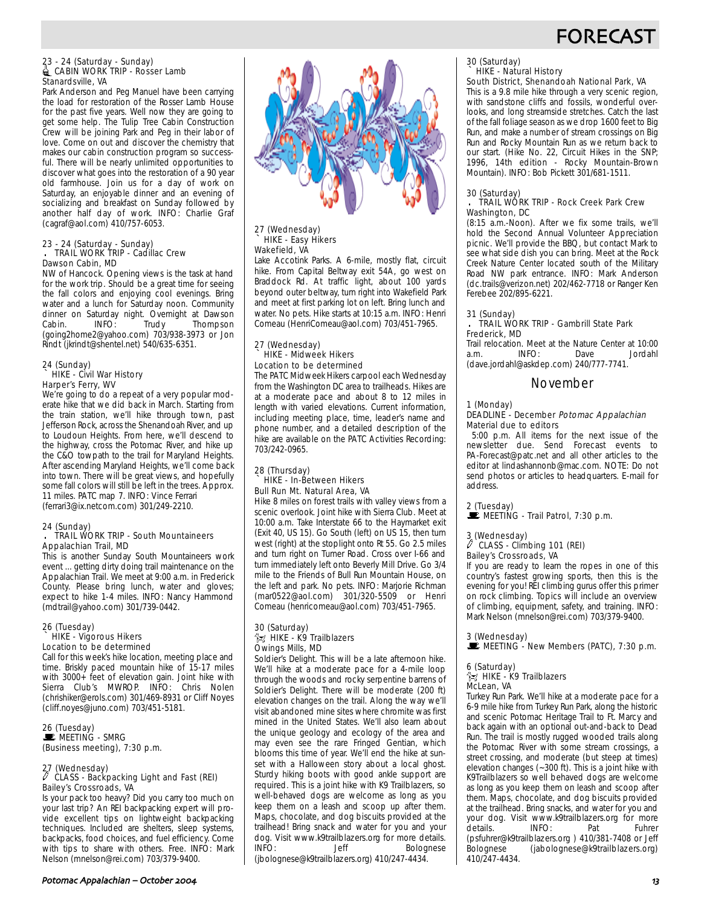## **FORECAS**

#### 23 - 24 (Saturday - Sunday)  $\triangleq$  CABIN WORK TRIP - Rosser Lamb Stanardsville, VA

Park Anderson and Peg Manuel have been carrying the load for restoration of the Rosser Lamb House for the past five years. Well now they are going to get some help. The Tulip Tree Cabin Construction Crew will be joining Park and Peg in their labor of love. Come on out and discover the chemistry that makes our cabin construction program so successful. There will be nearly unlimited opportunities to discover what goes into the restoration of a 90 year old farmhouse. Join us for a day of work on Saturday, an enjoyable dinner and an evening of socializing and breakfast on Sunday followed by another half day of work. INFO: Charlie Graf (cagraf@aol.com) 410/757-6053.

#### 23 - 24 (Saturday - Sunday) . TRAIL WORK TRIP - Cadillac Crew Dawson Cabin, MD

NW of Hancock. Opening views is the task at hand for the work trip. Should be a great time for seeing the fall colors and enjoying cool evenings. Bring water and a lunch for Saturday noon. Community dinner on Saturday night. Overnight at Dawson Cabin. INFO: Trudy Thompson (going2home2@yahoo.com) 703/938-3973 or Jon Rindt (jkrindt@shentel.net) 540/635-6351.

## 24 (Sunday) ` HIKE - Civil War History Harper's Ferry, WV

We're going to do a repeat of a very popular moderate hike that we did back in March. Starting from the train station, we'll hike through town, past Jefferson Rock, across the Shenandoah River, and up to Loudoun Heights. From here, we'll descend to the highway, cross the Potomac River, and hike up the C&O towpath to the trail for Maryland Heights. After ascending Maryland Heights, we'll come back into town. There will be great views, and hopefully some fall colors will still be left in the trees. Approx. 11 miles. PATC map 7. INFO: Vince Ferrari (ferrari3@ix.netcom.com) 301/249-2210.

### 24 (Sunday)

#### . TRAIL WORK TRIP - South Mountaineers Appalachian Trail, MD

This is another Sunday South Mountaineers work event ... getting dirty doing trail maintenance on the Appalachian Trail. We meet at 9:00 a.m. in Frederick County. Please bring lunch, water and gloves; expect to hike 1-4 miles. INFO: Nancy Hammond (mdtrail@yahoo.com) 301/739-0442.

#### 26 (Tuesday) HIKE - Vigorous Hikers Location to be determined

Call for this week's hike location, meeting place and time. Briskly paced mountain hike of 15-17 miles with 3000+ feet of elevation gain. Joint hike with Sierra Club's MWROP. INFO: Chris Nolen (chrishiker@erols.com) 301/469-8931 or Cliff Noyes (cliff.noyes@juno.com) 703/451-5181.

#### 26 (Tuesday) WEETING - SMRG (Business meeting), 7:30 p.m.

## 27 (Wednesday) a CLASS - Backpacking Light and Fast (REI) Bailey's Crossroads, VA

Is your pack too heavy? Did you carry too much on your last trip? An REI backpacking expert will provide excellent tips on lightweight backpacking techniques. Included are shelters, sleep systems, backpacks, food choices, and fuel efficiency. Come with tips to share with others. Free. INFO: Mark Nelson (mnelson@rei.com) 703/379-9400.



#### 27 (Wednesday) HIKE - Easy Hikers Wakefield, VA

Lake Accotink Parks. A 6-mile, mostly flat, circuit hike. From Capital Beltway exit 54A, go west on Braddock Rd. At traffic light, about 100 yards beyond outer beltway, turn right into Wakefield Park and meet at first parking lot on left. Bring lunch and water. No pets. Hike starts at 10:15 a.m. INFO: Henri Comeau (HenriComeau@aol.com) 703/451-7965.

#### 27 (Wednesday) ` HIKE - Midweek Hikers Location to be determined

The PATC Midweek Hikers carpool each Wednesday from the Washington DC area to trailheads. Hikes are at a moderate pace and about 8 to 12 miles in length with varied elevations. Current information, including meeting place, time, leader's name and phone number, and a detailed description of the hike are available on the PATC Activities Recording: 703/242-0965.

#### 28 (Thursday) ` HIKE - In-Between Hikers Bull Run Mt. Natural Area, VA

Hike 8 miles on forest trails with valley views from a scenic overlook. Joint hike with Sierra Club. Meet at 10:00 a.m. Take Interstate 66 to the Haymarket exit (Exit 40, US 15). Go South (left) on US 15, then turn west (right) at the stoplight onto Rt 55. Go 2.5 miles and turn right on Turner Road. Cross over I-66 and turn immediately left onto Beverly Mill Drive. Go 3/4 mile to the Friends of Bull Run Mountain House, on the left and park. No pets. INFO: Marjorie Richman (mar0522@aol.com) 301/320-5509 or Henri Comeau (henricomeau@aol.com) 703/451-7965.

#### 30 (Saturday)  $\frac{2}{100}$  HIKE - K9 Trailblazers Owings Mills, MD

Soldier's Delight. This will be a late afternoon hike. We'll hike at a moderate pace for a 4-mile loop through the woods and rocky serpentine barrens of Soldier's Delight. There will be moderate (200 ft) elevation changes on the trail. Along the way we'll visit abandoned mine sites where chromite was first mined in the United States. We'll also learn about the unique geology and ecology of the area and may even see the rare Fringed Gentian, which blooms this time of year. We'll end the hike at sunset with a Halloween story about a local ghost. Sturdy hiking boots with good ankle support are required. This is a joint hike with K9 Trailblazers, so well-behaved dogs are welcome as long as you keep them on a leash and scoop up after them. Maps, chocolate, and dog biscuits provided at the trailhead! Bring snack and water for you and your dog. Visit www.k9trailblazers.org for more details. Bolognese

(jbolognese@k9trailblazers.org) 410/247-4434.

## 30 (Saturday) ` HIKE - Natural History

#### South District, Shenandoah National Park, VA

This is a 9.8 mile hike through a very scenic region, with sandstone cliffs and fossils, wonderful overlooks, and long streamside stretches. Catch the last of the fall foliage season as we drop 1600 feet to Big Run, and make a number of stream crossings on Big Run and Rocky Mountain Run as we return back to our start. (Hike No. 22, Circuit Hikes in the SNP; 1996, 14th edition - Rocky Mountain-Brown Mountain). INFO: Bob Pickett 301/681-1511.

#### 30 (Saturday)

#### . TRAIL WORK TRIP - Rock Creek Park Crew Washington, DC

(8:15 a.m.-Noon). After we fix some trails, we'll hold the Second Annual Volunteer Appreciation picnic. We'll provide the BBQ, but contact Mark to see what side dish you can bring. Meet at the Rock Creek Nature Center located south of the Military Road NW park entrance. INFO: Mark Anderson (dc.trails@verizon.net) 202/462-7718 or Ranger Ken Ferebee 202/895-6221.

### 31 (Sunday)

#### . TRAIL WORK TRIP - Gambrill State Park Frederick, MD

Trail relocation. Meet at the Nature Center at 10:00<br>a.m. INFO: Dave Jordahl a.m. INFO: Dave Jordahl (dave.jordahl@askdep.com) 240/777-7741.

## November

#### 1 (Monday)

#### DEADLINE - December Potomac Appalachian Material due to editors

5:00 p.m. All items for the next issue of the newsletter due. Send Forecast events to PA-Forecast@patc.net and all other articles to the editor at lindashannonb@mac.com. NOTE: Do not send photos or articles to headquarters. E-mail for address.

2 (Tuesday)<br>■ MEETING - Trail Patrol, 7:30 p.m.

## 3 (Wednesday)

#### CLASS - Climbing 101 (REI) Bailey's Crossroads, VA

If you are ready to learn the ropes in one of this country's fastest growing sports, then this is the evening for you! REI climbing gurus offer this primer on rock climbing. Topics will include an overview of climbing, equipment, safety, and training. INFO: Mark Nelson (mnelson@rei.com) 703/379-9400.

3 (Wednesday)<br>■ MEETING - New Members (PATC), 7:30 p.m.

6 (Saturday)

#### $\tilde{\gamma}$ z $\,$  HIKE - K9 Trailblazers McLean, VA

Turkey Run Park. We'll hike at a moderate pace for a 6-9 mile hike from Turkey Run Park, along the historic and scenic Potomac Heritage Trail to Ft. Marcy and back again with an optional out-and-back to Dead Run. The trail is mostly rugged wooded trails along the Potomac River with some stream crossings, a street crossing, and moderate (but steep at times) elevation changes (~300 ft). This is a joint hike with K9Trailblazers so well behaved dogs are welcome as long as you keep them on leash and scoop after them. Maps, chocolate, and dog biscuits provided at the trailhead. Bring snacks, and water for you and your dog. Visit www.k9trailblazers.org for more<br>details. INFO: Pat Fuhrer qetails. (psfuhrer@k9trailblazers.org ) 410/381-7408 or Jeff (jabolognese@k9trailblazers.org) 410/247-4434.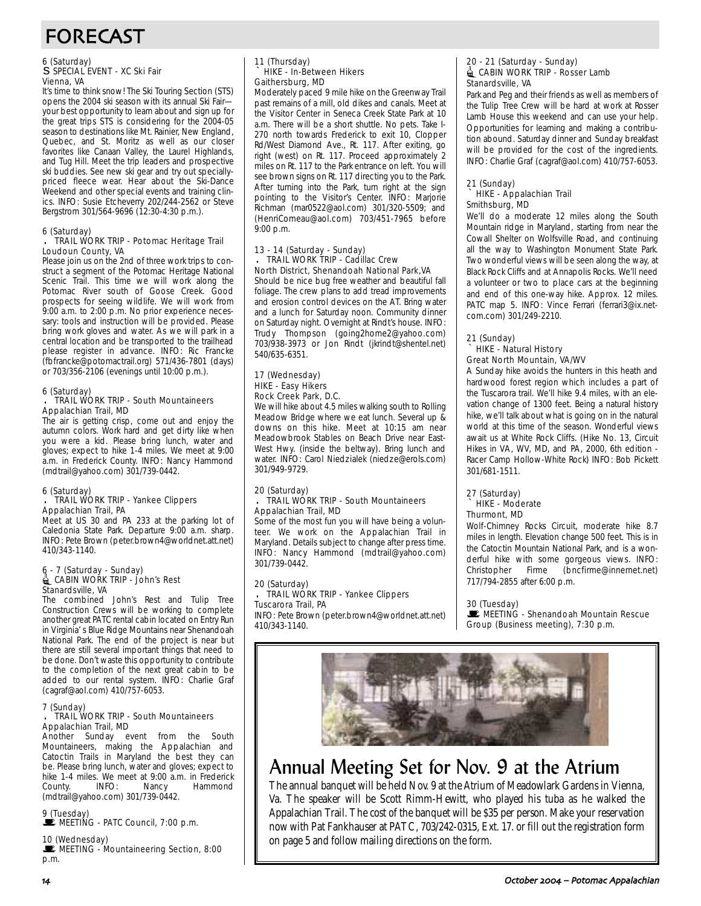## FORECAST

## 6 (Saturday) s SPECIAL EVENT - XC Ski Fair Vienna, VA

It's time to think snow! The Ski Touring Section (STS) opens the 2004 ski season with its annual Ski Fair your best opportunity to learn about and sign up for the great trips STS is considering for the 2004-05 season to destinations like Mt. Rainier, New England, Quebec, and St. Moritz as well as our closer favorites like Canaan Valley, the Laurel Highlands, and Tug Hill. Meet the trip leaders and prospective ski buddies. See new ski gear and try out speciallypriced fleece wear. Hear about the Ski-Dance Weekend and other special events and training clinics. INFO: Susie Etcheverry 202/244-2562 or Steve Bergstrom 301/564-9696 (12:30-4:30 p.m.).

### 6 (Saturday)

#### . TRAIL WORK TRIP - Potomac Heritage Trail Loudoun County, VA

Please join us on the 2nd of three work trips to construct a segment of the Potomac Heritage National Scenic Trail. This time we will work along the Potomac River south of Goose Creek. Good prospects for seeing wildlife. We will work from 9:00 a.m. to 2:00 p.m. No prior experience necessary: tools and instruction will be provided. Please bring work gloves and water. As we will park in a central location and be transported to the trailhead please register in advance. INFO: Ric Francke (fbfrancke@potomactrail.org) 571/436-7801 (days) or 703/356-2106 (evenings until 10:00 p.m.).

### 6 (Saturday)

#### . TRAIL WORK TRIP - South Mountaineers Appalachian Trail, MD

The air is getting crisp, come out and enjoy the autumn colors. Work hard and get dirty like when you were a kid. Please bring lunch, water and gloves; expect to hike 1-4 miles. We meet at 9:00 a.m. in Frederick County. INFO: Nancy Hammond (mdtrail@yahoo.com) 301/739-0442.

#### 6 (Saturday)

#### . TRAIL WORK TRIP - Yankee Clippers Appalachian Trail, PA

Meet at US 30 and PA 233 at the parking lot of Caledonia State Park. Departure 9:00 a.m. sharp. INFO: Pete Brown (peter.brown4@worldnet.att.net) 410/343-1140.

## 6 - 7 (Saturday - Sunday)<br>4 CABIN WORK TRIP - John's Rest Stanardsville, VA

The combined John's Rest and Tulip Tree Construction Crews will be working to complete another great PATC rental cabin located on Entry Run in Virginia' s Blue Ridge Mountains near Shenandoah National Park. The end of the project is near but there are still several important things that need to be done. Don't waste this opportunity to contribute to the completion of the next great cabin to be added to our rental system. INFO: Charlie Graf (cagraf@aol.com) 410/757-6053.

## 7 (Sunday) . TRAIL WORK TRIP - South Mountaineers Appalachian Trail, MD

Another Sunday event from the South Mountaineers, making the Appalachian and Catoctin Trails in Maryland the best they can be. Please bring lunch, water and gloves; expect to hike 1-4 miles. We meet at 9:00 a.m. in Frederick County. INFO: Nancy Hammond (mdtrail@yahoo.com) 301/739-0442.

9 (Tuesday)<br>■ MEETING - PATC Council, 7:00 p.m.

### 10 (Wednesday)

MEETING - Mountaineering Section, 8:00 p.m.

## 11 (Thursday) ` HIKE - In-Between Hikers Gaithersburg, MD

Moderately paced 9 mile hike on the Greenway Trail past remains of a mill, old dikes and canals. Meet at the Visitor Center in Seneca Creek State Park at 10 a.m. There will be a short shuttle. No pets. Take I-270 north towards Frederick to exit 10, Clopper Rd/West Diamond Ave., Rt. 117. After exiting, go right (west) on Rt. 117. Proceed approximately 2 miles on Rt. 117 to the Park entrance on left. You will see brown signs on Rt. 117 directing you to the Park. After turning into the Park, turn right at the sign pointing to the Visitor's Center. INFO: Marjorie Richman (mar0522@aol.com) 301/320-5509; and (HenriComeau@aol.com) 703/451-7965 before 9:00 p.m.

#### 13 - 14 (Saturday - Sunday) . TRAIL WORK TRIP - Cadillac Crew North District, Shenandoah National Park,VA

Should be nice bug free weather and beautiful fall foliage. The crew plans to add tread improvements and erosion control devices on the AT. Bring water and a lunch for Saturday noon. Community dinner on Saturday night. Overnight at Rindt's house. INFO: Trudy Thompson (going2home2@yahoo.com) 703/938-3973 or Jon Rindt (jkrindt@shentel.net) 540/635-6351.

#### 17 (Wednesday) HIKE - Easy Hikers Rock Creek Park, D.C.

We will hike about 4.5 miles walking south to Rolling Meadow Bridge where we eat lunch. Several up & downs on this hike. Meet at 10:15 am near Meadowbrook Stables on Beach Drive near East-West Hwy. (inside the beltway). Bring lunch and water. INFO: Carol Niedzialek (niedze@erols.com) 301/949-9729.

#### 20 (Saturday) TRAIL WORK TRIP - South Mountaineers Appalachian Trail, MD

Some of the most fun you will have being a volunteer. We work on the Appalachian Trail in Maryland. Details subject to change after press time. INFO: Nancy Hammond (mdtrail@yahoo.com) 301/739-0442.

## 20 (Saturday)

#### . TRAIL WORK TRIP - Yankee Clippers Tuscarora Trail, PA

INFO: Pete Brown (peter.brown4@worldnet.att.net) 410/343-1140.

#### 20 - 21 (Saturday - Sunday) ORK TRIP - Rosser Lamb Stanardsville, VA

Park and Peg and their friends as well as members of the Tulip Tree Crew will be hard at work at Rosser Lamb House this weekend and can use your help. Opportunities for learning and making a contribution abound. Saturday dinner and Sunday breakfast will be provided for the cost of the ingredients. INFO: Charlie Graf (cagraf@aol.com) 410/757-6053.

#### 21 (Sunday) ` HIKE - Appalachian Trail Smithsburg, MD

We'll do a moderate 12 miles along the South Mountain ridge in Maryland, starting from near the Cowall Shelter on Wolfsville Road, and continuing all the way to Washington Monument State Park. Two wonderful views will be seen along the way, at Black Rock Cliffs and at Annapolis Rocks. We'll need a volunteer or two to place cars at the beginning and end of this one-way hike. Approx. 12 miles. PATC map 5. INFO: Vince Ferrari (ferrari3@ix.netcom.com) 301/249-2210.

#### 21 (Sunday) ` HIKE - Natural History Great North Mountain, VA/WV

A Sunday hike avoids the hunters in this heath and hardwood forest region which includes a part of the Tuscarora trail. We'll hike 9.4 miles, with an elevation change of 1300 feet. Being a natural history hike, we'll talk about what is going on in the natural world at this time of the season. Wonderful views await us at White Rock Cliffs. (Hike No. 13, Circuit Hikes in VA, WV, MD, and PA, 2000, 6th edition - Racer Camp Hollow-White Rock) INFO: Bob Pickett 301/681-1511.

#### 27 (Saturday) HIKE - Moderate Thurmont, MD

Wolf-Chimney Rocks Circuit, moderate hike 8.7 miles in length. Elevation change 500 feet. This is in the Catoctin Mountain National Park, and is a wonderful hike with some gorgeous views. INFO: Christopher Firme (bncfirme@innernet.net) 717/794-2855 after 6:00 p.m.

### 30 (Tuesday)

**WEETING - Shenandoah Mountain Rescue** Group (Business meeting), 7:30 p.m.



## Annual Meeting Set for Nov. 9 at the Atrium

The annual banquet will be held Nov. 9 at the Atrium of Meadowlark Gardens in Vienna, Va. The speaker will be Scott Rimm-Hewitt, who played his tuba as he walked the Appalachian Trail. The cost of the banquet will be \$35 per person. Make your reservation now with Pat Fankhauser at PATC, 703/242-0315, Ext. 17. or fill out the registration form on page 5 and follow mailing directions on the form.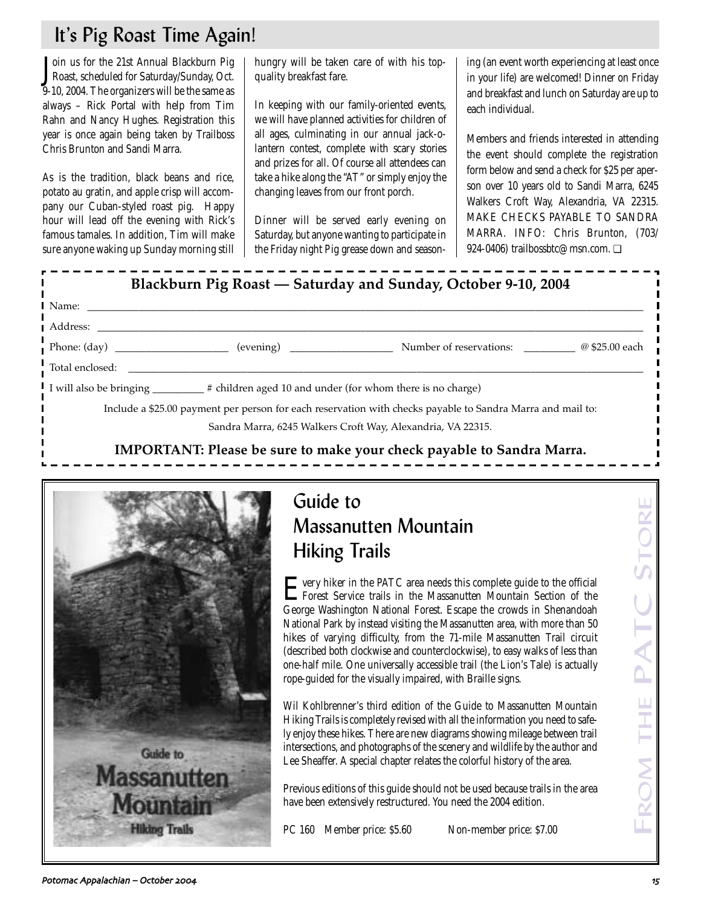## It's Pig Roast Time Again!

Join us for the 21st Annual Blackburn Pig<br>Roast, scheduled for Saturday/Sunday, Oct. oin us for the 21st Annual Blackburn Pig 9-10, 2004. The organizers will be the same as always – Rick Portal with help from Tim Rahn and Nancy Hughes. Registration this year is once again being taken by Trailboss Chris Brunton and Sandi Marra.

As is the tradition, black beans and rice, potato au gratin, and apple crisp will accompany our Cuban-styled roast pig. Happy hour will lead off the evening with Rick's famous tamales. In addition, Tim will make sure anyone waking up Sunday morning still hungry will be taken care of with his topquality breakfast fare.

In keeping with our family-oriented events, we will have planned activities for children of all ages, culminating in our annual jack-olantern contest, complete with scary stories and prizes for all. Of course all attendees can take a hike along the "AT" or simply enjoy the changing leaves from our front porch.

Dinner will be served early evening on Saturday, but anyone wanting to participate in the Friday night Pig grease down and seasoning (an event worth experiencing at least once in your life) are welcomed! Dinner on Friday and breakfast and lunch on Saturday are up to each individual.

Members and friends interested in attending the event should complete the registration form below and send a check for \$25 per aperson over 10 years old to Sandi Marra, 6245 Walkers Croft Way, Alexandria, VA 22315. MAKE CHECKS PAYABLE TO SANDRA MARRA. INFO: Chris Brunton, (703/ 924-0406) trailbossbtc@msn.com. <del></del>



**IMPORTANT: Please be sure to make your check payable to Sandra Marra.**



## Guide to Massanutten Mountain Hiking Trails

Every hiker in the PATC area needs this complete guide to the official Forest Service trails in the Massanutten Mountain Section of the George Washington National Forest. Escape the crowds in Shenandoah National Park by instead visiting the Massanutten area, with more than 50 hikes of varying difficulty, from the 71-mile Massanutten Trail circuit (described both clockwise and counterclockwise), to easy walks of less than one-half mile. One universally accessible trail (the Lion's Tale) is actually rope-guided for the visually impaired, with Braille signs.

Wil Kohlbrenner's third edition of the Guide to Massanutten Mountain Hiking Trails is completely revised with all the information you need to safely enjoy these hikes. There are new diagrams showing mileage between trail intersections, and photographs of the scenery and wildlife by the author and Lee Sheaffer. A special chapter relates the colorful history of the area.

Previous editions of this guide should not be used because trails in the area have been extensively restructured. You need the 2004 edition.

PC 160 Member price: \$5.60 Non-member price: \$7.00

FROM THE PATC STORE THE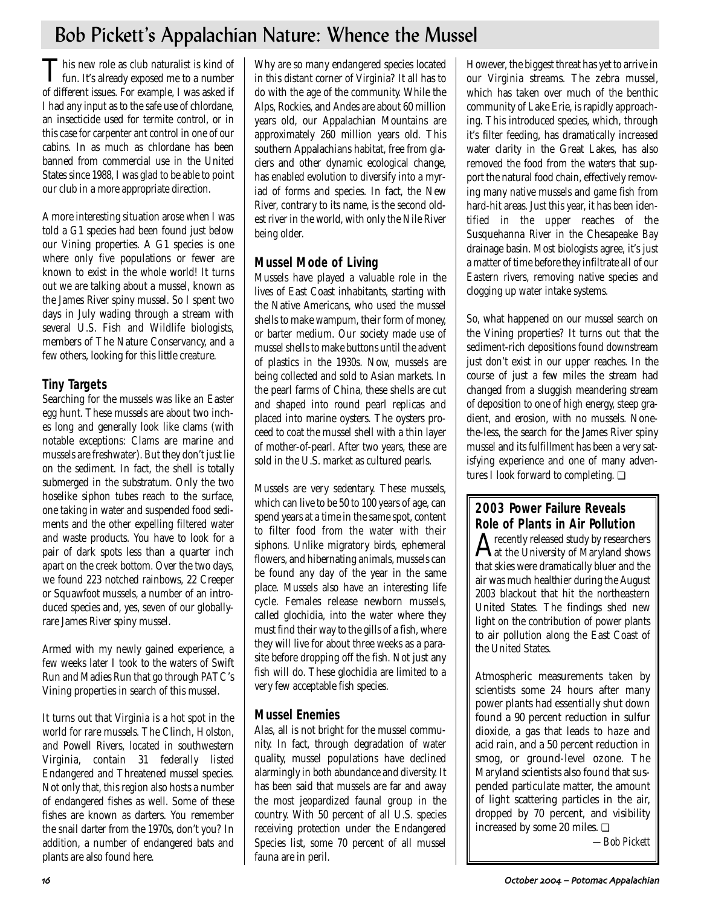## Bob Pickett's Appalachian Nature: Whence the Mussel

This new role as club naturalist is kind of<br>fun. It's already exposed me to a number of different issues. For example, I was asked if I had any input as to the safe use of chlordane, an insecticide used for termite control, or in this case for carpenter ant control in one of our cabins. In as much as chlordane has been banned from commercial use in the United States since 1988, I was glad to be able to point our club in a more appropriate direction.

A more interesting situation arose when I was told a G1 species had been found just below our Vining properties. A G1 species is one where only five populations or fewer are known to exist in the whole world! It turns out we are talking about a mussel, known as the James River spiny mussel. So I spent two days in July wading through a stream with several U.S. Fish and Wildlife biologists, members of The Nature Conservancy, and a few others, looking for this little creature.

## **Tiny Targets**

Searching for the mussels was like an Easter egg hunt. These mussels are about two inches long and generally look like clams (with notable exceptions: Clams are marine and mussels are freshwater). But they don't just lie on the sediment. In fact, the shell is totally submerged in the substratum. Only the two hoselike siphon tubes reach to the surface, one taking in water and suspended food sediments and the other expelling filtered water and waste products. You have to look for a pair of dark spots less than a quarter inch apart on the creek bottom. Over the two days, we found 223 notched rainbows, 22 Creeper or Squawfoot mussels, a number of an introduced species and, yes, seven of our globallyrare James River spiny mussel.

Armed with my newly gained experience, a few weeks later I took to the waters of Swift Run and Madies Run that go through PATC's Vining properties in search of this mussel.

It turns out that Virginia is a hot spot in the world for rare mussels. The Clinch, Holston, and Powell Rivers, located in southwestern Virginia, contain 31 federally listed Endangered and Threatened mussel species. Not only that, this region also hosts a number of endangered fishes as well. Some of these fishes are known as darters. You remember the snail darter from the 1970s, don't you? In addition, a number of endangered bats and plants are also found here.

Why are so many endangered species located in this distant corner of Virginia? It all has to do with the age of the community. While the Alps, Rockies, and Andes are about 60 million years old, our Appalachian Mountains are approximately 260 million years old. This southern Appalachians habitat, free from glaciers and other dynamic ecological change, has enabled evolution to diversify into a myriad of forms and species. In fact, the New River, contrary to its name, is the second oldest river in the world, with only the Nile River being older.

## **Mussel Mode of Living**

Mussels have played a valuable role in the lives of East Coast inhabitants, starting with the Native Americans, who used the mussel shells to make wampum, their form of money, or barter medium. Our society made use of mussel shells to make buttons until the advent of plastics in the 1930s. Now, mussels are being collected and sold to Asian markets. In the pearl farms of China, these shells are cut and shaped into round pearl replicas and placed into marine oysters. The oysters proceed to coat the mussel shell with a thin layer of mother-of-pearl. After two years, these are sold in the U.S. market as cultured pearls.

Mussels are very sedentary. These mussels, which can live to be 50 to 100 years of age, can spend years at a time in the same spot, content to filter food from the water with their siphons. Unlike migratory birds, ephemeral flowers, and hibernating animals, mussels can be found any day of the year in the same place. Mussels also have an interesting life cycle. Females release newborn mussels, called glochidia, into the water where they must find their way to the gills of a fish, where they will live for about three weeks as a parasite before dropping off the fish. Not just any fish will do. These glochidia are limited to a very few acceptable fish species.

## **Mussel Enemies**

Alas, all is not bright for the mussel community. In fact, through degradation of water quality, mussel populations have declined alarmingly in both abundance and diversity. It has been said that mussels are far and away the most jeopardized faunal group in the country. With 50 percent of all U.S. species receiving protection under the Endangered Species list, some 70 percent of all mussel fauna are in peril.

However, the biggest threat has yet to arrive in our Virginia streams. The zebra mussel, which has taken over much of the benthic community of Lake Erie, is rapidly approaching. This introduced species, which, through it's filter feeding, has dramatically increased water clarity in the Great Lakes, has also removed the food from the waters that support the natural food chain, effectively removing many native mussels and game fish from hard-hit areas. Just this year, it has been identified in the upper reaches of the Susquehanna River in the Chesapeake Bay drainage basin. Most biologists agree, it's just a matter of time before they infiltrate all of our Eastern rivers, removing native species and clogging up water intake systems.

So, what happened on our mussel search on the Vining properties? It turns out that the sediment-rich depositions found downstream just don't exist in our upper reaches. In the course of just a few miles the stream had changed from a sluggish meandering stream of deposition to one of high energy, steep gradient, and erosion, with no mussels. Nonethe-less, the search for the James River spiny mussel and its fulfillment has been a very satisfying experience and one of many adventures I look forward to completing. ❏

## **2003 Power Failure Reveals Role of Plants in Air Pollution**<br> **A** recently released study by researchers

 $A$ recently released study by researchers<br>at the University of Maryland shows that skies were dramatically bluer and the air was much healthier during the August 2003 blackout that hit the northeastern United States. The findings shed new light on the contribution of power plants to air pollution along the East Coast of the United States.

Atmospheric measurements taken by scientists some 24 hours after many power plants had essentially shut down found a 90 percent reduction in sulfur dioxide, a gas that leads to haze and acid rain, and a 50 percent reduction in smog, or ground-level ozone. The Maryland scientists also found that suspended particulate matter, the amount of light scattering particles in the air, dropped by 70 percent, and visibility increased by some 20 miles. ❏

*—Bob Pickett*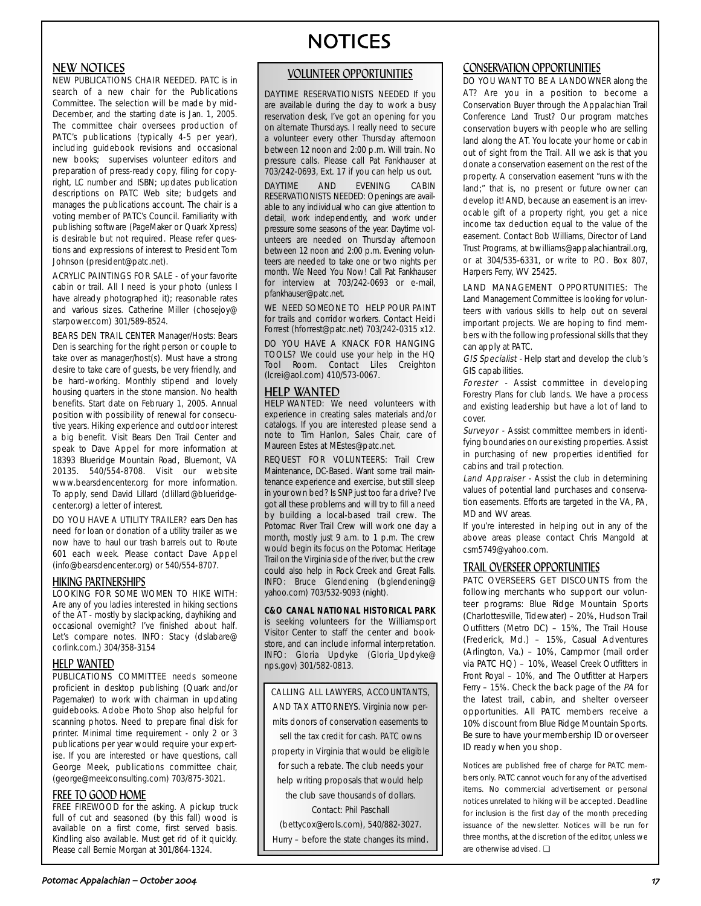## NEW NOTICES

NEW PUBLICATIONS CHAIR NEEDED. PATC is in search of a new chair for the Publications Committee. The selection will be made by mid-December, and the starting date is Jan. 1, 2005. The committee chair oversees production of PATC's publications (typically 4-5 per year), including guidebook revisions and occasional new books; supervises volunteer editors and preparation of press-ready copy, filing for copyright, LC number and ISBN; updates publication descriptions on PATC Web site; budgets and manages the publications account. The chair is a voting member of PATC's Council. Familiarity with publishing software (PageMaker or Quark Xpress) is desirable but not required. Please refer questions and expressions of interest to President Tom Johnson (president@patc.net).

ACRYLIC PAINTINGS FOR SALE - of your favorite cabin or trail. All I need is your photo (unless I have already photographed it); reasonable rates and various sizes. Catherine Miller (chosejoy@ starpower.com) 301/589-8524.

BEARS DEN TRAIL CENTER Manager/Hosts: Bears Den is searching for the right person or couple to take over as manager/host(s). Must have a strong desire to take care of guests, be very friendly, and be hard-working. Monthly stipend and lovely housing quarters in the stone mansion. No health benefits. Start date on February 1, 2005. Annual position with possibility of renewal for consecutive years. Hiking experience and outdoor interest a big benefit. Visit Bears Den Trail Center and speak to Dave Appel for more information at 18393 Blueridge Mountain Road, Bluemont, VA 20135. 540/554-8708. Visit our website www.bearsdencenter.org for more information. To apply, send David Lillard (dlillard@blueridgecenter.org) a letter of interest.

DO YOU HAVE A UTILITY TRAILER? ears Den has need for loan or donation of a utility trailer as we now have to haul our trash barrels out to Route 601 each week. Please contact Dave Appel (info@bearsdencenter.org) or 540/554-8707.

### HIKING PARTNERSHIPS

LOOKING FOR SOME WOMEN TO HIKE WITH: Are any of you ladies interested in hiking sections of the AT - mostly by slackpacking, dayhiking and occasional overnight? I've finished about half. Let's compare notes. INFO: Stacy (dslabare@ corlink.com.) 304/358-3154

## HELP WANTED

PUBLICATIONS COMMITTEE needs someone proficient in desktop publishing (Quark and/or Pagemaker) to work with chairman in updating guidebooks. Adobe Photo Shop also helpful for scanning photos. Need to prepare final disk for printer. Minimal time requirement - only 2 or 3 publications per year would require your expertise. If you are interested or have questions, call George Meek, publications committee chair, (george@meekconsulting.com) 703/875-3021.

## FREE TO GOOD HOME

FREE FIREWOOD for the asking. A pickup truck full of cut and seasoned (by this fall) wood is available on a first come, first served basis. Kindling also available. Must get rid of it quickly. Please call Bernie Morgan at 301/864-1324.

## NOTICES

### VOLUNTEER OPPORTUNITIES

DAYTIME RESERVATIONISTS NEEDED If you are available during the day to work a busy reservation desk, I've got an opening for you on alternate Thursdays. I really need to secure a volunteer every other Thursday afternoon between 12 noon and 2:00 p.m. Will train. No pressure calls. Please call Pat Fankhauser at 703/242-0693, Ext. 17 if you can help us out.

DAYTIME AND EVENING CABIN RESERVATIONISTS NEEDED: Openings are available to any individual who can give attention to detail, work independently, and work under pressure some seasons of the year. Daytime volunteers are needed on Thursday afternoon between 12 noon and 2:00 p.m. Evening volunteers are needed to take one or two nights per month. We Need You Now! Call Pat Fankhauser for interview at 703/242-0693 or e-mail, pfankhauser@patc.net.

WE NEED SOMEONE TO HELP POUR PAINT for trails and corridor workers. Contact Heidi Forrest (hforrest@patc.net) 703/242-0315 x12.

DO YOU HAVE A KNACK FOR HANGING TOOLS? We could use your help in the HQ Tool Room. Contact Liles Creighton (lcrei@aol.com) 410/573-0067.

### HELP WANTED

**HELP WANTED:** We need volunteers with experience in creating sales materials and/or catalogs. If you are interested please send a note to Tim Hanlon, Sales Chair, care of Maureen Estes at MEstes@patc.net.

REQUEST FOR VOLUNTEERS: Trail Crew Maintenance, DC-Based. Want some trail maintenance experience and exercise, but still sleep in your own bed? Is SNP just too far a drive? I've got all these problems and will try to fill a need by building a local-based trail crew. The Potomac River Trail Crew will work one day a month, mostly just 9 a.m. to 1 p.m. The crew would begin its focus on the Potomac Heritage Trail on the Virginia side of the river, but the crew could also help in Rock Creek and Great Falls. INFO: Bruce Glendening (bglendening@ yahoo.com) 703/532-9093 (night).

### **C&O CANAL NATIONAL HISTORICAL PARK**

is seeking volunteers for the Williamsport Visitor Center to staff the center and bookstore, and can include informal interpretation. INFO: Gloria Updyke (Gloria\_Updyke@ nps.gov) 301/582-0813.

CALLING ALL LAWYERS, ACCOUNTANTS, AND TAX ATTORNEYS. Virginia now permits donors of conservation easements to sell the tax credit for cash. PATC owns property in Virginia that would be eligible for such a rebate. The club needs your help writing proposals that would help the club save thousands of dollars. Contact: Phil Paschall (bettycox@erols.com), 540/882-3027. Hurry – before the state changes its mind.

## CONSERVATION OPPORTUNITIES

DO YOU WANT TO BE A LANDOWNER along the AT? Are you in a position to become a Conservation Buyer through the Appalachian Trail Conference Land Trust? Our program matches conservation buyers with people who are selling land along the AT. You locate your home or cabin out of sight from the Trail. All we ask is that you donate a conservation easement on the rest of the property. A conservation easement "runs with the land;" that is, no present or future owner can develop it! AND, because an easement is an irrevocable gift of a property right, you get a nice income tax deduction equal to the value of the easement. Contact Bob Williams, Director of Land Trust Programs, at bwilliams@appalachiantrail.org, or at 304/535-6331, or write to P.O. Box 807, Harpers Ferry, WV 25425.

LAND MANAGEMENT OPPORTUNITIES: The Land Management Committee is looking for volunteers with various skills to help out on several important projects. We are hoping to find members with the following professional skills that they can apply at PATC.

GIS Specialist - Help start and develop the club's GIS capabilities.

Forester - Assist committee in developing Forestry Plans for club lands. We have a process and existing leadership but have a lot of land to cover.

Surveyor - Assist committee members in identifying boundaries on our existing properties. Assist in purchasing of new properties identified for cabins and trail protection.

Land Appraiser - Assist the club in determining values of potential land purchases and conservation easements. Efforts are targeted in the VA, PA, MD and WV areas.

If you're interested in helping out in any of the above areas please contact Chris Mangold at csm5749@yahoo.com.

## TRAIL OVERSEER OPPORTUNITIES

PATC OVERSEERS GET DISCOUNTS from the following merchants who support our volunteer programs: Blue Ridge Mountain Sports (Charlottesville, Tidewater) – 20%, Hudson Trail Outfitters (Metro DC) – 15%, The Trail House (Frederick, Md.) – 15%, Casual Adventures (Arlington, Va.) – 10%, Campmor (mail order via PATC HQ) – 10%, Weasel Creek Outfitters in Front Royal – 10%, and The Outfitter at Harpers Ferry – 15%. Check the back page of the PA for the latest trail, cabin, and shelter overseer opportunities. All PATC members receive a 10% discount from Blue Ridge Mountain Sports. Be sure to have your membership ID or overseer ID ready when you shop.

Notices are published free of charge for PATC members only. PATC cannot vouch for any of the advertised items. No commercial advertisement or personal notices unrelated to hiking will be accepted. Deadline for inclusion is the first day of the month preceding issuance of the newsletter. Notices will be run for three months, at the discretion of the editor, unless we are otherwise advised. ❏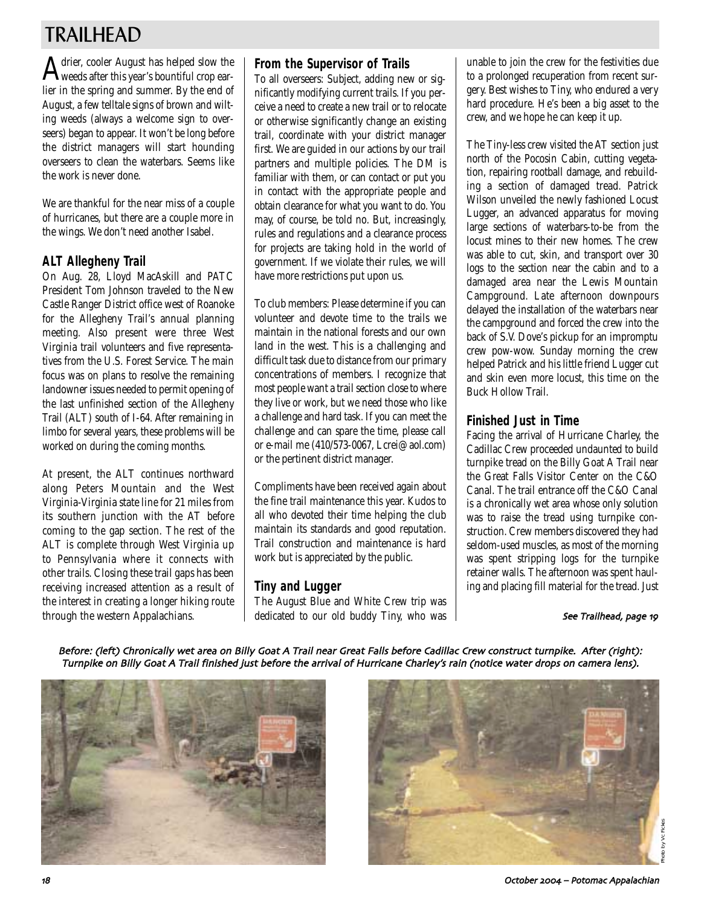## TRAILHEAD

Adrier, cooler August has helped slow the weeds after this year's bountiful crop earlier in the spring and summer. By the end of August, a few telltale signs of brown and wilting weeds (always a welcome sign to overseers) began to appear. It won't be long before the district managers will start hounding overseers to clean the waterbars. Seems like the work is never done.

We are thankful for the near miss of a couple of hurricanes, but there are a couple more in the wings. We don't need another Isabel.

## **ALT Allegheny Trail**

On Aug. 28, Lloyd MacAskill and PATC President Tom Johnson traveled to the New Castle Ranger District office west of Roanoke for the Allegheny Trail's annual planning meeting. Also present were three West Virginia trail volunteers and five representatives from the U.S. Forest Service. The main focus was on plans to resolve the remaining landowner issues needed to permit opening of the last unfinished section of the Allegheny Trail (ALT) south of I-64. After remaining in limbo for several years, these problems will be worked on during the coming months.

At present, the ALT continues northward along Peters Mountain and the West Virginia-Virginia state line for 21 miles from its southern junction with the AT before coming to the gap section. The rest of the ALT is complete through West Virginia up to Pennsylvania where it connects with other trails. Closing these trail gaps has been receiving increased attention as a result of the interest in creating a longer hiking route through the western Appalachians.

## **From the Supervisor of Trails**

To all overseers: Subject, adding new or significantly modifying current trails. If you perceive a need to create a new trail or to relocate or otherwise significantly change an existing trail, coordinate with your district manager first. We are guided in our actions by our trail partners and multiple policies. The DM is familiar with them, or can contact or put you in contact with the appropriate people and obtain clearance for what you want to do. You may, of course, be told no. But, increasingly, rules and regulations and a clearance process for projects are taking hold in the world of government. If we violate their rules, we will have more restrictions put upon us.

To club members: Please determine if you can volunteer and devote time to the trails we maintain in the national forests and our own land in the west. This is a challenging and difficult task due to distance from our primary concentrations of members. I recognize that most people want a trail section close to where they live or work, but we need those who like a challenge and hard task. If you can meet the challenge and can spare the time, please call or e-mail me (410/573-0067, Lcrei@aol.com) or the pertinent district manager.

Compliments have been received again about the fine trail maintenance this year. Kudos to all who devoted their time helping the club maintain its standards and good reputation. Trail construction and maintenance is hard work but is appreciated by the public.

## **Tiny and Lugger**

The August Blue and White Crew trip was dedicated to our old buddy Tiny, who was

unable to join the crew for the festivities due to a prolonged recuperation from recent surgery. Best wishes to Tiny, who endured a very hard procedure. He's been a big asset to the crew, and we hope he can keep it up.

The Tiny-less crew visited the AT section just north of the Pocosin Cabin, cutting vegetation, repairing rootball damage, and rebuilding a section of damaged tread. Patrick Wilson unveiled the newly fashioned Locust Lugger, an advanced apparatus for moving large sections of waterbars-to-be from the locust mines to their new homes. The crew was able to cut, skin, and transport over 30 logs to the section near the cabin and to a damaged area near the Lewis Mountain Campground. Late afternoon downpours delayed the installation of the waterbars near the campground and forced the crew into the back of S.V. Dove's pickup for an impromptu crew pow-wow. Sunday morning the crew helped Patrick and his little friend Lugger cut and skin even more locust, this time on the Buck Hollow Trail.

## **Finished Just in Time**

Facing the arrival of Hurricane Charley, the Cadillac Crew proceeded undaunted to build turnpike tread on the Billy Goat A Trail near the Great Falls Visitor Center on the C&O Canal. The trail entrance off the C&O Canal is a chronically wet area whose only solution was to raise the tread using turnpike construction. Crew members discovered they had seldom-used muscles, as most of the morning was spent stripping logs for the turnpike retainer walls. The afternoon was spent hauling and placing fill material for the tread. Just

See Trailhead, page 19

Before: (left) Chronically wet area on Billy Goat A Trail near Great Falls before Cadillac Crew construct turnpike. After (right): Turnpike on Billy Goat A Trail finished just before the arrival of Hurricane Charley's rain (notice water drops on camera lens).





Photo by Vc Fickes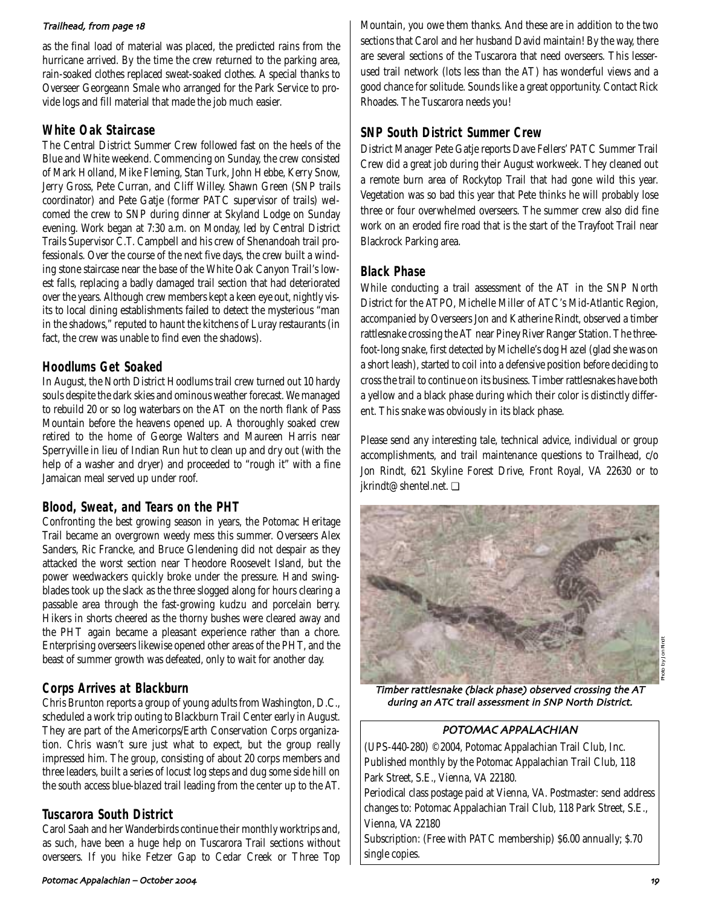### Trailhead, from page 18

as the final load of material was placed, the predicted rains from the hurricane arrived. By the time the crew returned to the parking area, rain-soaked clothes replaced sweat-soaked clothes. A special thanks to Overseer Georgeann Smale who arranged for the Park Service to provide logs and fill material that made the job much easier.

## **White Oak Staircase**

The Central District Summer Crew followed fast on the heels of the Blue and White weekend. Commencing on Sunday, the crew consisted of Mark Holland, Mike Fleming, Stan Turk, John Hebbe, Kerry Snow, Jerry Gross, Pete Curran, and Cliff Willey. Shawn Green (SNP trails coordinator) and Pete Gatje (former PATC supervisor of trails) welcomed the crew to SNP during dinner at Skyland Lodge on Sunday evening. Work began at 7:30 a.m. on Monday, led by Central District Trails Supervisor C.T. Campbell and his crew of Shenandoah trail professionals. Over the course of the next five days, the crew built a winding stone staircase near the base of the White Oak Canyon Trail's lowest falls, replacing a badly damaged trail section that had deteriorated over the years. Although crew members kept a keen eye out, nightly visits to local dining establishments failed to detect the mysterious "man in the shadows," reputed to haunt the kitchens of Luray restaurants (in fact, the crew was unable to find even the shadows).

## **Hoodlums Get Soaked**

In August, the North District Hoodlums trail crew turned out 10 hardy souls despite the dark skies and ominous weather forecast. We managed to rebuild 20 or so log waterbars on the AT on the north flank of Pass Mountain before the heavens opened up. A thoroughly soaked crew retired to the home of George Walters and Maureen Harris near Sperryville in lieu of Indian Run hut to clean up and dry out (with the help of a washer and dryer) and proceeded to "rough it" with a fine Jamaican meal served up under roof.

## **Blood, Sweat, and Tears on the PHT**

Confronting the best growing season in years, the Potomac Heritage Trail became an overgrown weedy mess this summer. Overseers Alex Sanders, Ric Francke, and Bruce Glendening did not despair as they attacked the worst section near Theodore Roosevelt Island, but the power weedwackers quickly broke under the pressure. Hand swingblades took up the slack as the three slogged along for hours clearing a passable area through the fast-growing kudzu and porcelain berry. Hikers in shorts cheered as the thorny bushes were cleared away and the PHT again became a pleasant experience rather than a chore. Enterprising overseers likewise opened other areas of the PHT, and the beast of summer growth was defeated, only to wait for another day.

## **Corps Arrives at Blackburn**

Chris Brunton reports a group of young adults from Washington, D.C., scheduled a work trip outing to Blackburn Trail Center early in August. They are part of the Americorps/Earth Conservation Corps organization. Chris wasn't sure just what to expect, but the group really impressed him. The group, consisting of about 20 corps members and three leaders, built a series of locust log steps and dug some side hill on the south access blue-blazed trail leading from the center up to the AT.

## **Tuscarora South District**

Carol Saah and her Wanderbirds continue their monthly worktrips and, as such, have been a huge help on Tuscarora Trail sections without overseers. If you hike Fetzer Gap to Cedar Creek or Three Top Mountain, you owe them thanks. And these are in addition to the two sections that Carol and her husband David maintain! By the way, there are several sections of the Tuscarora that need overseers. This lesserused trail network (lots less than the AT) has wonderful views and a good chance for solitude. Sounds like a great opportunity. Contact Rick Rhoades. The Tuscarora needs you!

## **SNP South District Summer Crew**

District Manager Pete Gatje reports Dave Fellers' PATC Summer Trail Crew did a great job during their August workweek. They cleaned out a remote burn area of Rockytop Trail that had gone wild this year. Vegetation was so bad this year that Pete thinks he will probably lose three or four overwhelmed overseers. The summer crew also did fine work on an eroded fire road that is the start of the Trayfoot Trail near Blackrock Parking area.

## **Black Phase**

While conducting a trail assessment of the AT in the SNP North District for the ATPO, Michelle Miller of ATC's Mid-Atlantic Region, accompanied by Overseers Jon and Katherine Rindt, observed a timber rattlesnake crossing the AT near Piney River Ranger Station. The threefoot-long snake, first detected by Michelle's dog Hazel (glad she was on a short leash), started to coil into a defensive position before deciding to cross the trail to continue on its business. Timber rattlesnakes have both a yellow and a black phase during which their color is distinctly different. This snake was obviously in its black phase.

Please send any interesting tale, technical advice, individual or group accomplishments, and trail maintenance questions to Trailhead, c/o Jon Rindt, 621 Skyline Forest Drive, Front Royal, VA 22630 or to jkrindt@shentel.net. ❏



Timber rattlesnake (black phase) observed crossing the AT during an ATC trail assessment in SNP North District.

## POTOMAC APPALACHIAN

(UPS-440-280) ©2004, Potomac Appalachian Trail Club, Inc. Published monthly by the Potomac Appalachian Trail Club, 118 Park Street, S.E., Vienna, VA 22180.

Periodical class postage paid at Vienna, VA. Postmaster: send address changes to: Potomac Appalachian Trail Club, 118 Park Street, S.E., Vienna, VA 22180

Subscription: (Free with PATC membership) \$6.00 annually; \$.70 single copies.